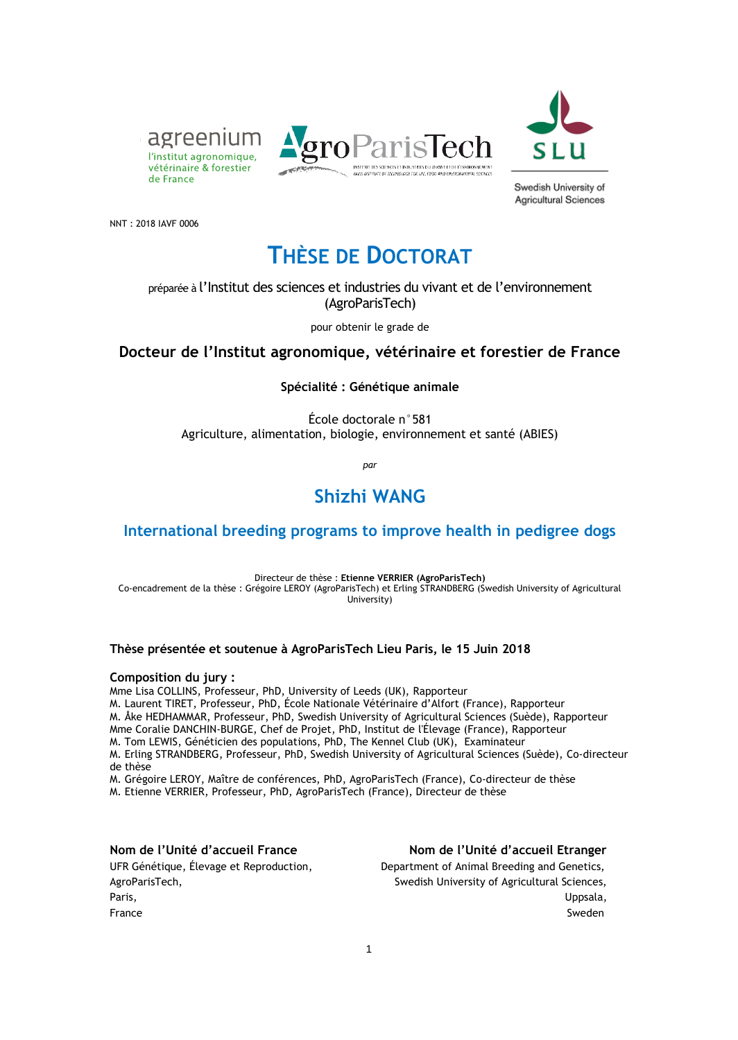



Swedish University of **Agricultural Sciences** 

NNT : 2018 IAVF 0006

de France

# **THÈSE DE DOCTORAT**

#### préparée à l'Institut des sciences et industries du vivant et de l'environnement (AgroParisTech)

pour obtenir le grade de

#### **Docteur de l'Institut agronomique, vétérinaire et forestier de France**

**Spécialité : Génétique animale**

École doctorale n°581 Agriculture, alimentation, biologie, environnement et santé (ABIES)

*par*

### **Shizhi WANG**

#### **International breeding programs to improve health in pedigree dogs**

Directeur de thèse : **Etienne VERRIER (AgroParisTech)** Co-encadrement de la thèse : Grégoire LEROY (AgroParisTech) et Erling STRANDBERG (Swedish University of Agricultural University)

#### **Thèse présentée et soutenue à AgroParisTech Lieu Paris, le 15 Juin 2018**

#### **Composition du jury :**

Mme Lisa COLLINS, Professeur, PhD, University of Leeds (UK), Rapporteur

M. Laurent TIRET, Professeur, PhD, École Nationale Vétérinaire d'Alfort (France), Rapporteur

M. Åke HEDHAMMAR, Professeur, PhD, Swedish University of Agricultural Sciences (Suède), Rapporteur

Mme Coralie DANCHIN-BURGE, Chef de Projet, PhD, Institut de l'Élevage (France), Rapporteur M. Tom LEWIS, Généticien des populations, PhD, The Kennel Club (UK), Examinateur

M. Erling STRANDBERG, Professeur, PhD, Swedish University of Agricultural Sciences (Suède), Co-directeur de thèse

M. Grégoire LEROY, Maître de conférences, PhD, AgroParisTech (France), Co-directeur de thèse M. Etienne VERRIER, Professeur, PhD, AgroParisTech (France), Directeur de thèse

**Nom de l'Unité d'accueil France Nom de l'Unité d'accueil Etranger**

UFR Génétique, Élevage et Reproduction, Department of Animal Breeding and Genetics, AgroParisTech, Swedish University of Agricultural Sciences, Paris, Uppsala, France Sweden (1999) and the state of the state of the state of the Sweden (1999) and the Sweden (1999) and the Sweden (1999) and the Sweden (1999) and the Sweden (1999) and the Sweden (1999) and the Sweden (1999) and the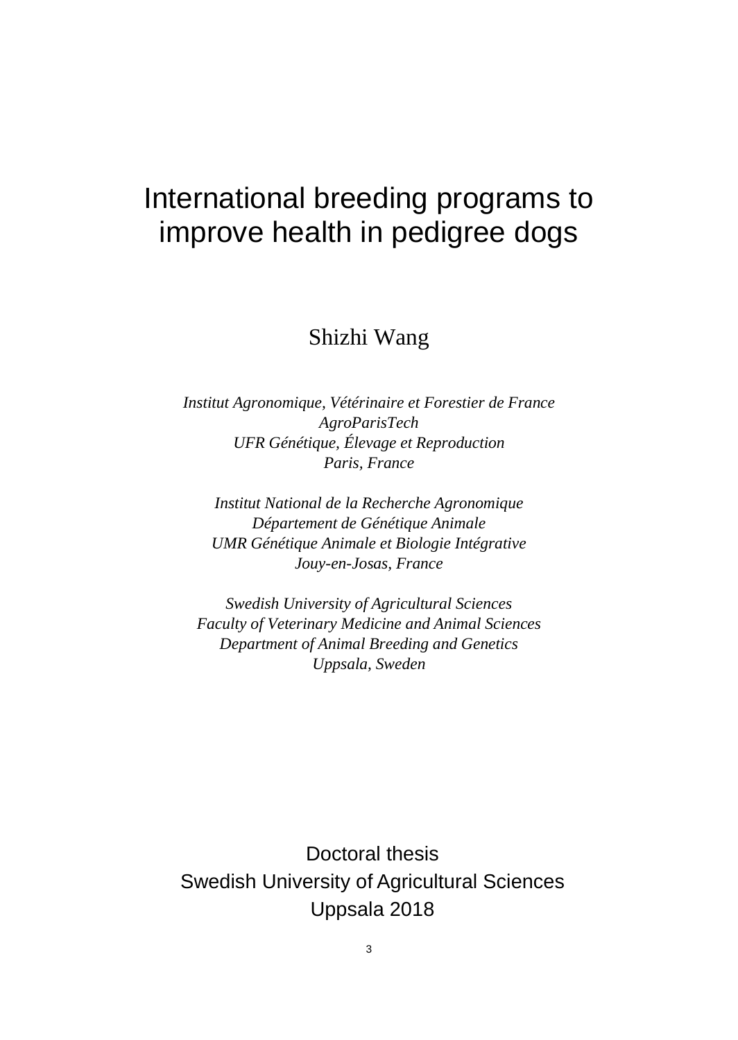# International breeding programs to improve health in pedigree dogs

# Shizhi Wang

*Institut Agronomique, Vétérinaire et Forestier de France AgroParisTech UFR Génétique, Élevage et Reproduction Paris, France*

*Institut National de la Recherche Agronomique Département de Génétique Animale UMR Génétique Animale et Biologie Intégrative Jouy-en-Josas, France*

*Swedish University of Agricultural Sciences Faculty of Veterinary Medicine and Animal Sciences Department of Animal Breeding and Genetics Uppsala, Sweden*

Doctoral thesis Swedish University of Agricultural Sciences Uppsala 2018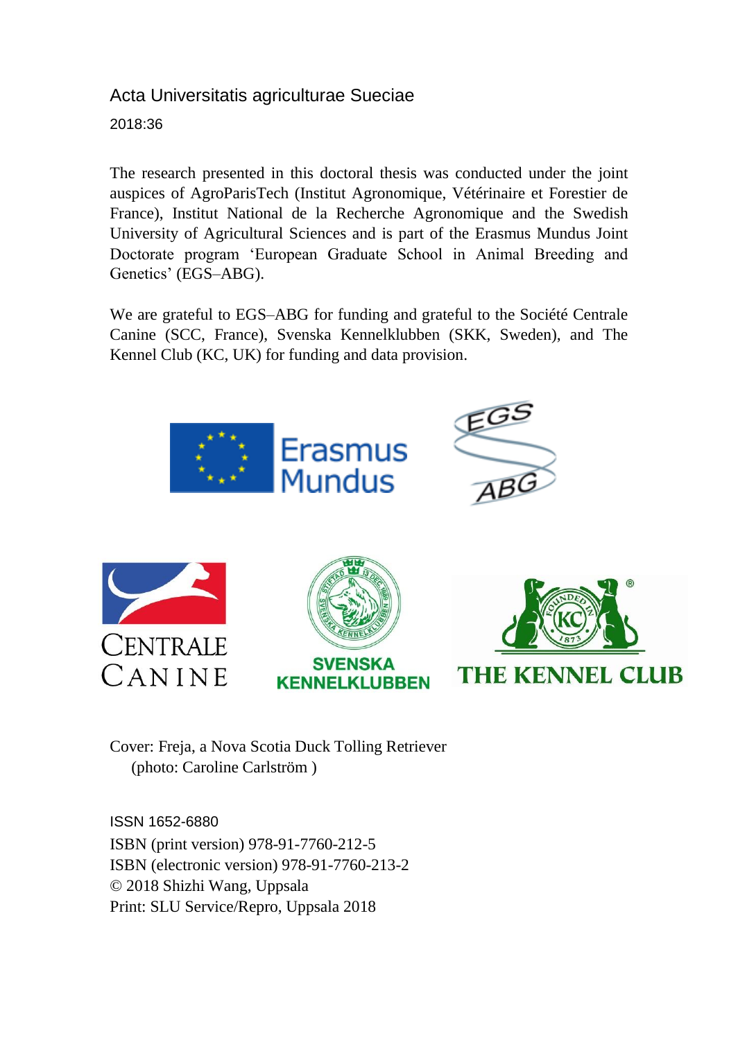### Acta Universitatis agriculturae Sueciae

2018:36

The research presented in this doctoral thesis was conducted under the joint auspices of AgroParisTech (Institut Agronomique, Vétérinaire et Forestier de France), Institut National de la Recherche Agronomique and the Swedish University of Agricultural Sciences and is part of the Erasmus Mundus Joint Doctorate program 'European Graduate School in Animal Breeding and Genetics' (EGS–ABG).

We are grateful to EGS–ABG for funding and grateful to the Société Centrale Canine (SCC, France), Svenska Kennelklubben (SKK, Sweden), and The Kennel Club (KC, UK) for funding and data provision.



Cover: Freja, a Nova Scotia Duck Tolling Retriever (photo: Caroline Carlström )

ISSN 1652-6880 ISBN (print version) 978-91-7760-212-5 ISBN (electronic version) 978-91-7760-213-2 © 2018 Shizhi Wang, Uppsala Print: SLU Service/Repro, Uppsala 2018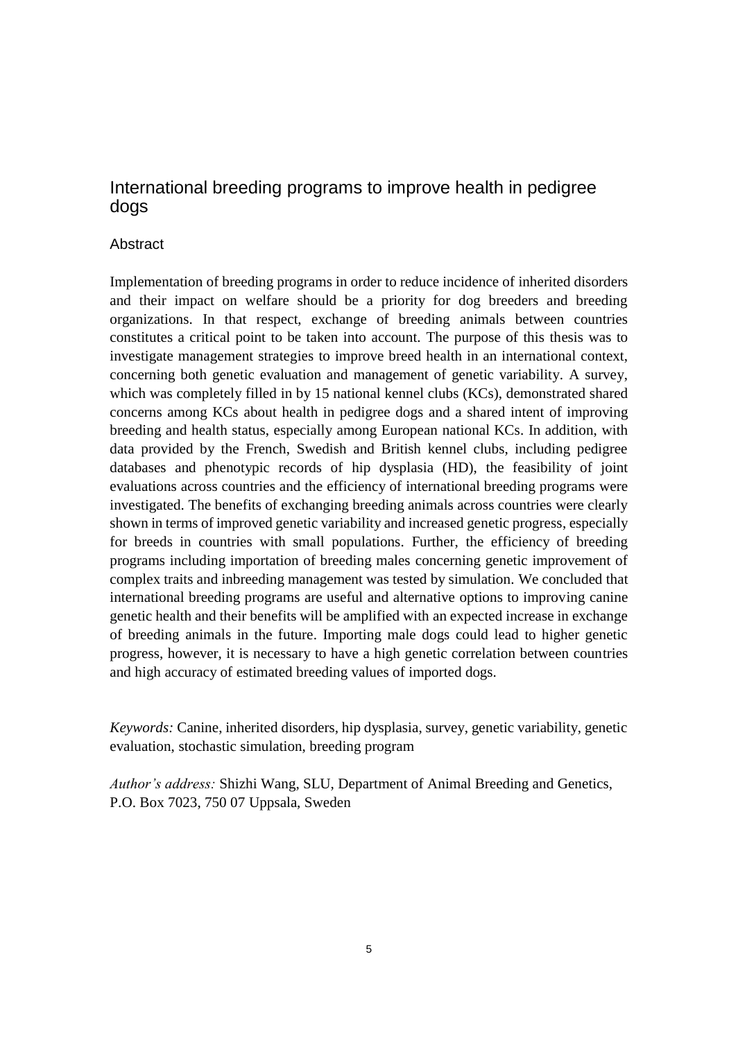#### International breeding programs to improve health in pedigree dogs

#### Abstract

Implementation of breeding programs in order to reduce incidence of inherited disorders and their impact on welfare should be a priority for dog breeders and breeding organizations. In that respect, exchange of breeding animals between countries constitutes a critical point to be taken into account. The purpose of this thesis was to investigate management strategies to improve breed health in an international context, concerning both genetic evaluation and management of genetic variability. A survey, which was completely filled in by 15 national kennel clubs (KCs), demonstrated shared concerns among KCs about health in pedigree dogs and a shared intent of improving breeding and health status, especially among European national KCs. In addition, with data provided by the French, Swedish and British kennel clubs, including pedigree databases and phenotypic records of hip dysplasia (HD), the feasibility of joint evaluations across countries and the efficiency of international breeding programs were investigated. The benefits of exchanging breeding animals across countries were clearly shown in terms of improved genetic variability and increased genetic progress, especially for breeds in countries with small populations. Further, the efficiency of breeding programs including importation of breeding males concerning genetic improvement of complex traits and inbreeding management was tested by simulation. We concluded that international breeding programs are useful and alternative options to improving canine genetic health and their benefits will be amplified with an expected increase in exchange of breeding animals in the future. Importing male dogs could lead to higher genetic progress, however, it is necessary to have a high genetic correlation between countries and high accuracy of estimated breeding values of imported dogs.

*Keywords:* Canine, inherited disorders, hip dysplasia, survey, genetic variability, genetic evaluation, stochastic simulation, breeding program

*Author's address:* Shizhi Wang, SLU, Department of Animal Breeding and Genetics, P.O. Box 7023, 750 07 Uppsala, Sweden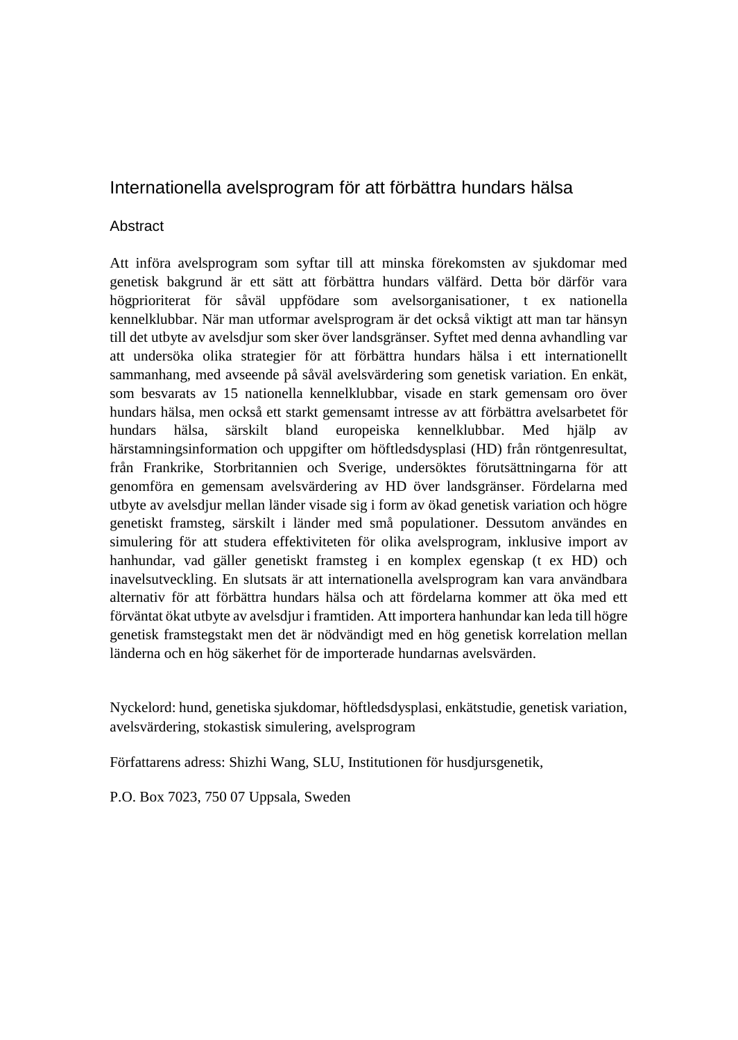#### Internationella avelsprogram för att förbättra hundars hälsa

#### **Abstract**

Att införa avelsprogram som syftar till att minska förekomsten av sjukdomar med genetisk bakgrund är ett sätt att förbättra hundars välfärd. Detta bör därför vara högprioriterat för såväl uppfödare som avelsorganisationer, t ex nationella kennelklubbar. När man utformar avelsprogram är det också viktigt att man tar hänsyn till det utbyte av avelsdjur som sker över landsgränser. Syftet med denna avhandling var att undersöka olika strategier för att förbättra hundars hälsa i ett internationellt sammanhang, med avseende på såväl avelsvärdering som genetisk variation. En enkät, som besvarats av 15 nationella kennelklubbar, visade en stark gemensam oro över hundars hälsa, men också ett starkt gemensamt intresse av att förbättra avelsarbetet för hundars hälsa, särskilt bland europeiska kennelklubbar. Med hjälp av härstamningsinformation och uppgifter om höftledsdysplasi (HD) från röntgenresultat, från Frankrike, Storbritannien och Sverige, undersöktes förutsättningarna för att genomföra en gemensam avelsvärdering av HD över landsgränser. Fördelarna med utbyte av avelsdjur mellan länder visade sig i form av ökad genetisk variation och högre genetiskt framsteg, särskilt i länder med små populationer. Dessutom användes en simulering för att studera effektiviteten för olika avelsprogram, inklusive import av hanhundar, vad gäller genetiskt framsteg i en komplex egenskap (t ex HD) och inavelsutveckling. En slutsats är att internationella avelsprogram kan vara användbara alternativ för att förbättra hundars hälsa och att fördelarna kommer att öka med ett förväntat ökat utbyte av avelsdjur i framtiden. Att importera hanhundar kan leda till högre genetisk framstegstakt men det är nödvändigt med en hög genetisk korrelation mellan länderna och en hög säkerhet för de importerade hundarnas avelsvärden.

Nyckelord: hund, genetiska sjukdomar, höftledsdysplasi, enkätstudie, genetisk variation, avelsvärdering, stokastisk simulering, avelsprogram

Författarens adress: Shizhi Wang, SLU, Institutionen för husdjursgenetik,

P.O. Box 7023, 750 07 Uppsala, Sweden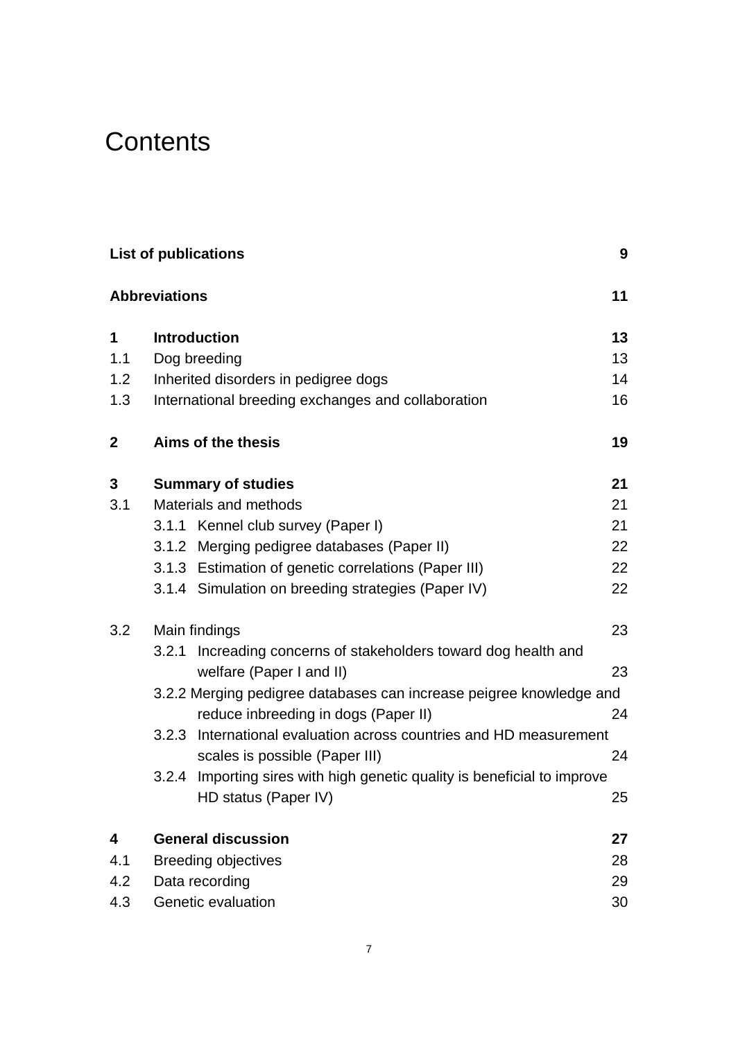# **Contents**

| <b>List of publications</b> |                                                                                                      |                                                                          |    |  |  |  |
|-----------------------------|------------------------------------------------------------------------------------------------------|--------------------------------------------------------------------------|----|--|--|--|
|                             | <b>Abbreviations</b>                                                                                 |                                                                          | 11 |  |  |  |
| 1                           | <b>Introduction</b>                                                                                  |                                                                          | 13 |  |  |  |
| 1.1                         | Dog breeding                                                                                         |                                                                          | 13 |  |  |  |
| 1.2                         |                                                                                                      | Inherited disorders in pedigree dogs                                     | 14 |  |  |  |
| 1.3                         |                                                                                                      | International breeding exchanges and collaboration                       | 16 |  |  |  |
| $\mathbf{2}$                |                                                                                                      | Aims of the thesis                                                       | 19 |  |  |  |
| 3                           |                                                                                                      | <b>Summary of studies</b>                                                | 21 |  |  |  |
| 3.1                         | Materials and methods                                                                                |                                                                          |    |  |  |  |
|                             |                                                                                                      | 3.1.1 Kennel club survey (Paper I)                                       | 21 |  |  |  |
|                             |                                                                                                      | 3.1.2 Merging pedigree databases (Paper II)                              | 22 |  |  |  |
|                             |                                                                                                      | 3.1.3 Estimation of genetic correlations (Paper III)                     | 22 |  |  |  |
|                             |                                                                                                      | 3.1.4 Simulation on breeding strategies (Paper IV)                       | 22 |  |  |  |
| 3.2                         | Main findings                                                                                        |                                                                          | 23 |  |  |  |
|                             | Increading concerns of stakeholders toward dog health and<br>3.2.1<br>welfare (Paper I and II)<br>23 |                                                                          |    |  |  |  |
|                             |                                                                                                      | 3.2.2 Merging pedigree databases can increase peigree knowledge and      |    |  |  |  |
|                             |                                                                                                      | reduce inbreeding in dogs (Paper II)                                     | 24 |  |  |  |
|                             | 3.2.3                                                                                                | International evaluation across countries and HD measurement             |    |  |  |  |
|                             |                                                                                                      | scales is possible (Paper III)                                           | 24 |  |  |  |
|                             |                                                                                                      | 3.2.4 Importing sires with high genetic quality is beneficial to improve |    |  |  |  |
|                             |                                                                                                      | HD status (Paper IV)                                                     | 25 |  |  |  |
| 4                           |                                                                                                      | <b>General discussion</b>                                                | 27 |  |  |  |
| 4.1                         |                                                                                                      | <b>Breeding objectives</b><br>28                                         |    |  |  |  |
| 4.2                         | Data recording<br>29                                                                                 |                                                                          |    |  |  |  |
| 4.3                         | Genetic evaluation<br>30                                                                             |                                                                          |    |  |  |  |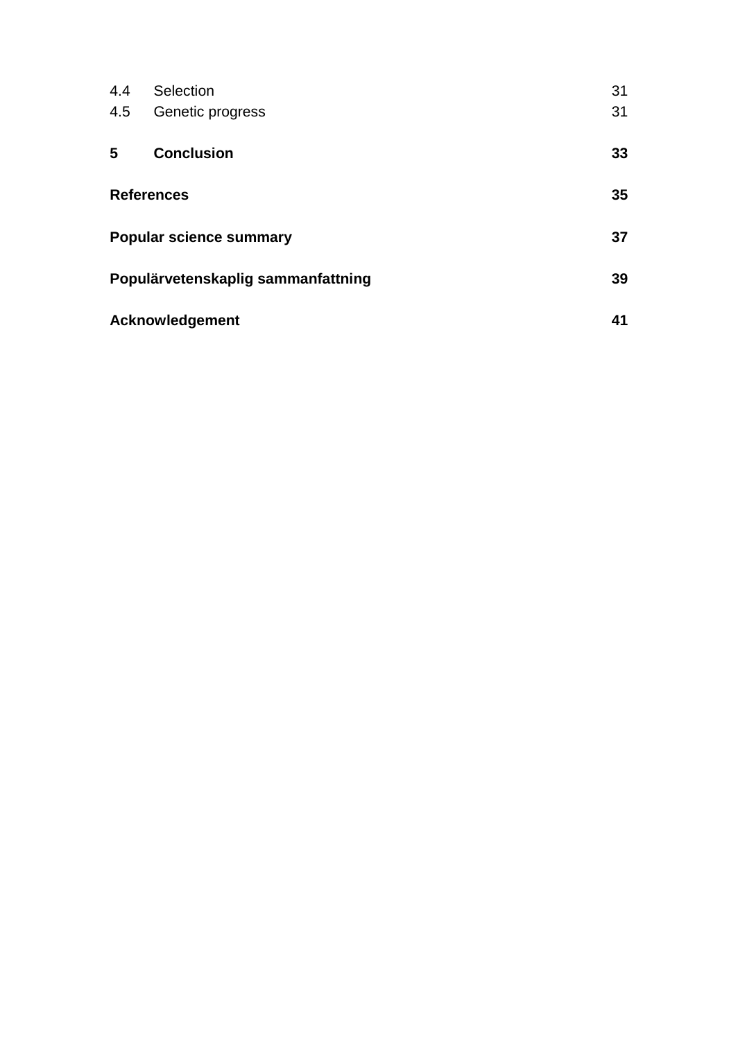| 4.4               | Selection                          | 31 |  |
|-------------------|------------------------------------|----|--|
| 4.5               | Genetic progress                   | 31 |  |
| 5                 | <b>Conclusion</b>                  | 33 |  |
| <b>References</b> |                                    | 35 |  |
|                   | <b>Popular science summary</b>     | 37 |  |
|                   | Populärvetenskaplig sammanfattning |    |  |
|                   | Acknowledgement                    | 41 |  |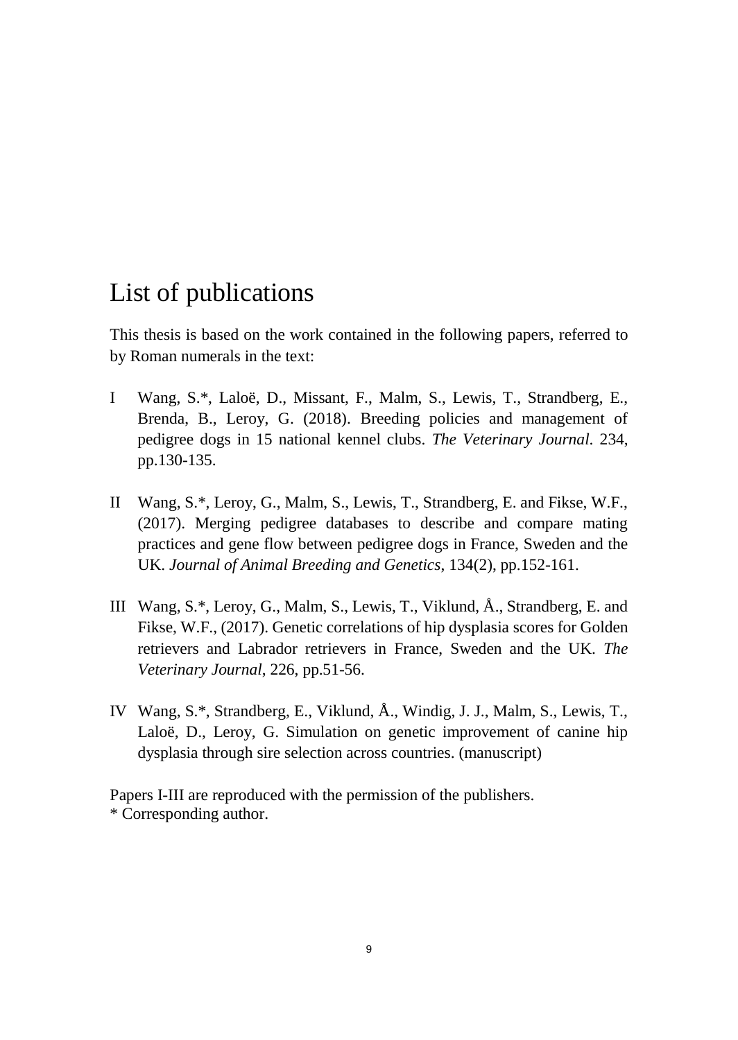# <span id="page-8-0"></span>List of publications

This thesis is based on the work contained in the following papers, referred to by Roman numerals in the text:

- I Wang, S.\*, Laloë, D., Missant, F., Malm, S., Lewis, T., Strandberg, E., Brenda, B., Leroy, G. (2018). Breeding policies and management of pedigree dogs in 15 national kennel clubs. *The Veterinary Journal*. 234, pp.130-135.
- II Wang, S.\*, Leroy, G., Malm, S., Lewis, T., Strandberg, E. and Fikse, W.F., (2017). Merging pedigree databases to describe and compare mating practices and gene flow between pedigree dogs in France, Sweden and the UK. *Journal of Animal Breeding and Genetics*, 134(2), pp.152-161.
- III Wang, S.\*, Leroy, G., Malm, S., Lewis, T., Viklund, Å., Strandberg, E. and Fikse, W.F., (2017). Genetic correlations of hip dysplasia scores for Golden retrievers and Labrador retrievers in France, Sweden and the UK. *The Veterinary Journal*, 226, pp.51-56.
- IV Wang, S.\*, Strandberg, E., Viklund, Å., Windig, J. J., Malm, S., Lewis, T., Laloë, D., Leroy, G. Simulation on genetic improvement of canine hip dysplasia through sire selection across countries. (manuscript)

Papers I-III are reproduced with the permission of the publishers. \* Corresponding author.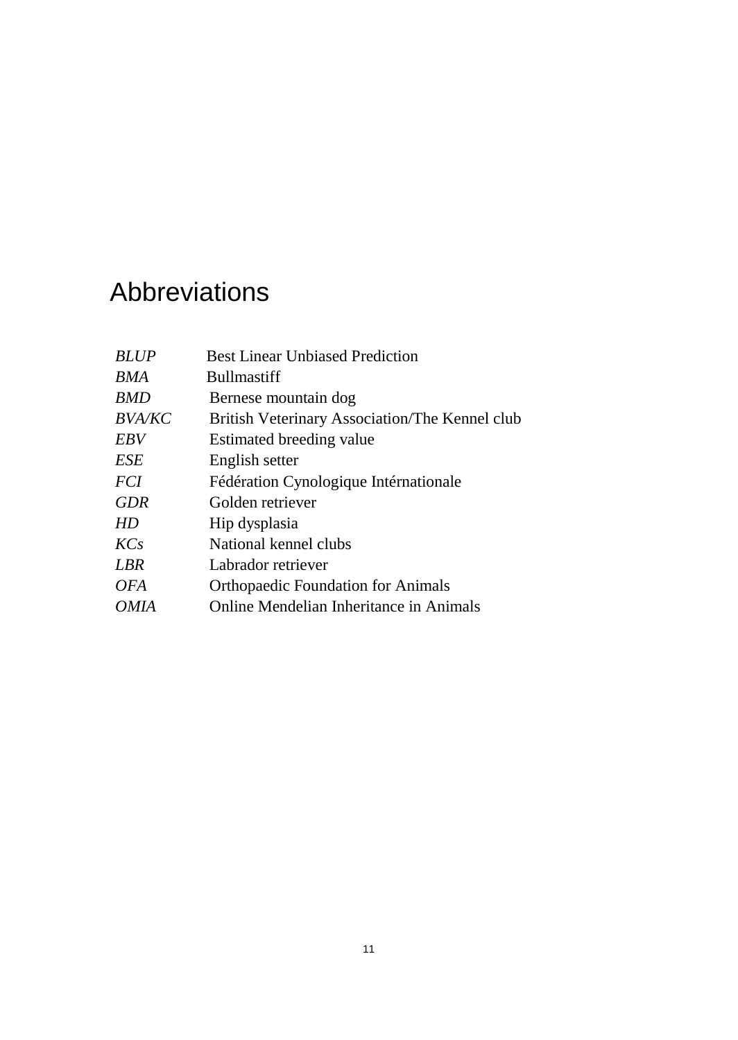# <span id="page-10-0"></span>Abbreviations

| <b>BLUP</b>   | <b>Best Linear Unbiased Prediction</b>         |
|---------------|------------------------------------------------|
| BMA           | <b>Bullmastiff</b>                             |
| <b>BMD</b>    | Bernese mountain dog                           |
| <i>BVA/KC</i> | British Veterinary Association/The Kennel club |
| EBV           | Estimated breeding value                       |
| ESE           | English setter                                 |
| <i>FCI</i>    | Fédération Cynologique Intérnationale          |
| <b>GDR</b>    | Golden retriever                               |
| HD            | Hip dysplasia                                  |
| KCs           | National kennel clubs                          |
| <b>LBR</b>    | Labrador retriever                             |
| <i>OFA</i>    | <b>Orthopaedic Foundation for Animals</b>      |
| <i>OMIA</i>   | Online Mendelian Inheritance in Animals        |
|               |                                                |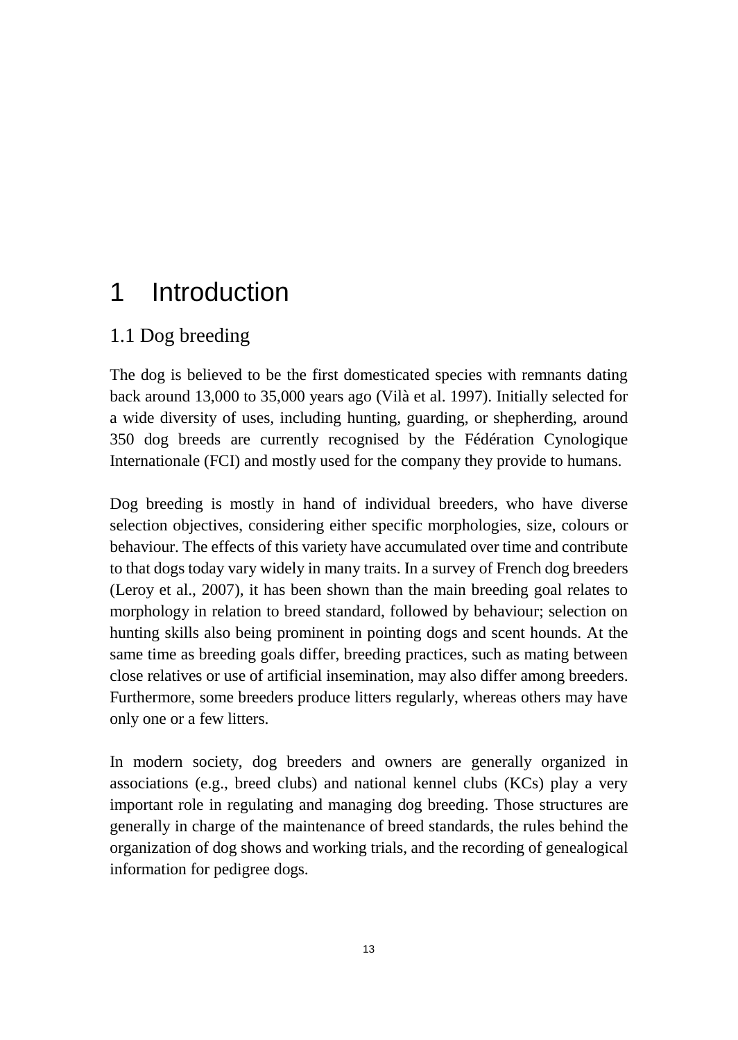# <span id="page-12-0"></span>1 Introduction

# 1.1 Dog breeding

The dog is believed to be the first domesticated species with remnants dating back around 13,000 to 35,000 years ago (Vilà et al. 1997). Initially selected for a wide diversity of uses, including hunting, guarding, or shepherding, around 350 dog breeds are currently recognised by the Fédération Cynologique Internationale (FCI) and mostly used for the company they provide to humans.

Dog breeding is mostly in hand of individual breeders, who have diverse selection objectives, considering either specific morphologies, size, colours or behaviour. The effects of this variety have accumulated over time and contribute to that dogs today vary widely in many traits. In a survey of French dog breeders (Leroy et al., 2007), it has been shown than the main breeding goal relates to morphology in relation to breed standard, followed by behaviour; selection on hunting skills also being prominent in pointing dogs and scent hounds. At the same time as breeding goals differ, breeding practices, such as mating between close relatives or use of artificial insemination, may also differ among breeders. Furthermore, some breeders produce litters regularly, whereas others may have only one or a few litters.

In modern society, dog breeders and owners are generally organized in associations (e.g., breed clubs) and national kennel clubs (KCs) play a very important role in regulating and managing dog breeding. Those structures are generally in charge of the maintenance of breed standards, the rules behind the organization of dog shows and working trials, and the recording of genealogical information for pedigree dogs.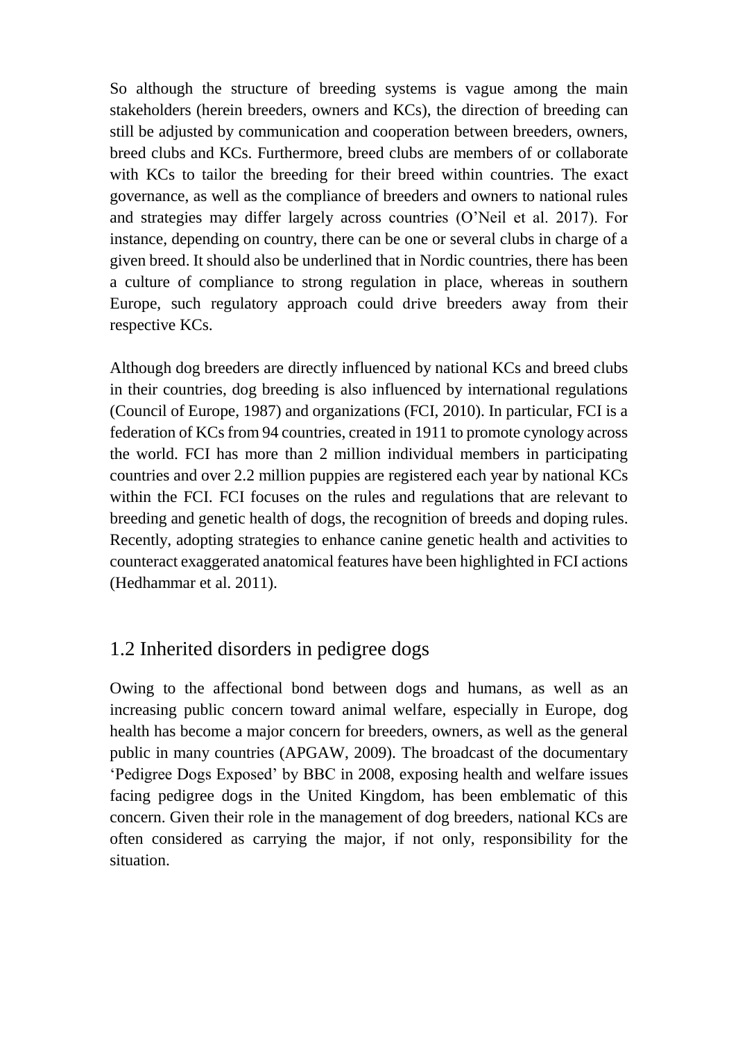So although the structure of breeding systems is vague among the main stakeholders (herein breeders, owners and KCs), the direction of breeding can still be adjusted by communication and cooperation between breeders, owners, breed clubs and KCs. Furthermore, breed clubs are members of or collaborate with KCs to tailor the breeding for their breed within countries. The exact governance, as well as the compliance of breeders and owners to national rules and strategies may differ largely across countries (O'Neil et al. 2017). For instance, depending on country, there can be one or several clubs in charge of a given breed. It should also be underlined that in Nordic countries, there has been a culture of compliance to strong regulation in place, whereas in southern Europe, such regulatory approach could drive breeders away from their respective KCs.

Although dog breeders are directly influenced by national KCs and breed clubs in their countries, dog breeding is also influenced by international regulations (Council of Europe, 1987) and organizations (FCI, 2010). In particular, FCI is a federation of KCs from 94 countries, created in 1911 to promote cynology across the world. FCI has more than 2 million individual members in participating countries and over 2.2 million puppies are registered each year by national KCs within the FCI. FCI focuses on the rules and regulations that are relevant to breeding and genetic health of dogs, the recognition of breeds and doping rules. Recently, adopting strategies to enhance canine genetic health and activities to counteract exaggerated anatomical features have been highlighted in FCI actions (Hedhammar et al. 2011).

### 1.2 Inherited disorders in pedigree dogs

Owing to the affectional bond between dogs and humans, as well as an increasing public concern toward animal welfare, especially in Europe, dog health has become a major concern for breeders, owners, as well as the general public in many countries (APGAW, 2009). The broadcast of the documentary 'Pedigree Dogs Exposed' by BBC in 2008, exposing health and welfare issues facing pedigree dogs in the United Kingdom, has been emblematic of this concern. Given their role in the management of dog breeders, national KCs are often considered as carrying the major, if not only, responsibility for the situation.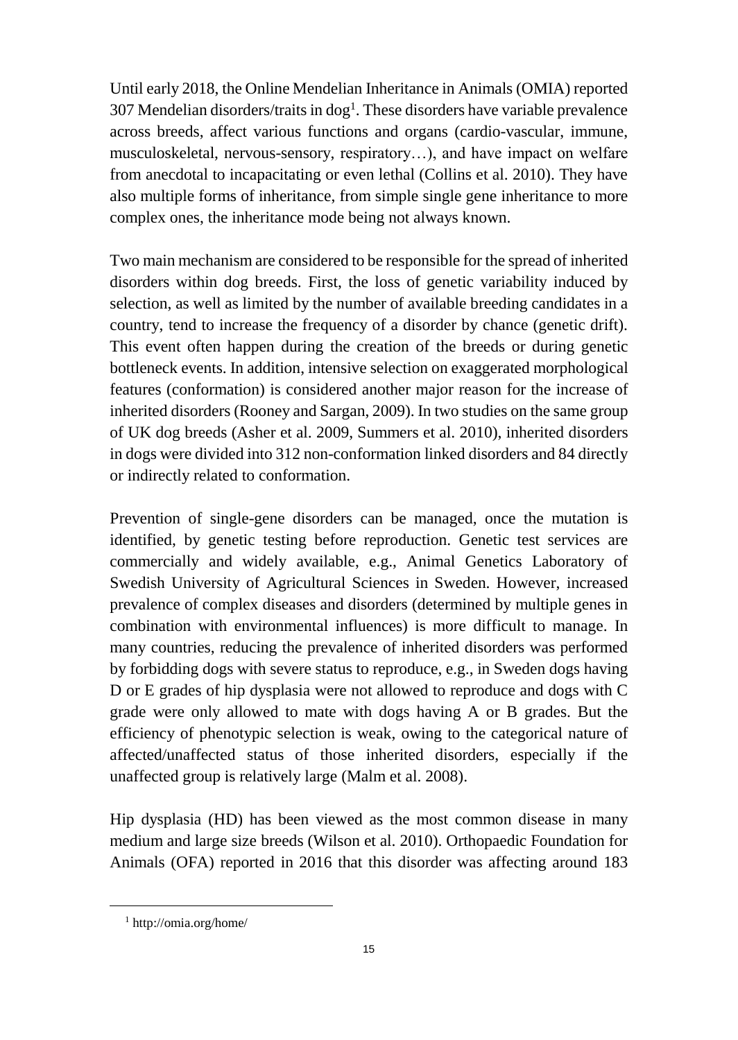Until early 2018, the Online Mendelian Inheritance in Animals (OMIA) reported 307 Mendelian disorders/traits in dog<sup>1</sup>. These disorders have variable prevalence across breeds, affect various functions and organs (cardio-vascular, immune, musculoskeletal, nervous-sensory, respiratory…), and have impact on welfare from anecdotal to incapacitating or even lethal (Collins et al. 2010). They have also multiple forms of inheritance, from simple single gene inheritance to more complex ones, the inheritance mode being not always known.

Two main mechanism are considered to be responsible for the spread of inherited disorders within dog breeds. First, the loss of genetic variability induced by selection, as well as limited by the number of available breeding candidates in a country, tend to increase the frequency of a disorder by chance (genetic drift). This event often happen during the creation of the breeds or during genetic bottleneck events. In addition, intensive selection on exaggerated morphological features (conformation) is considered another major reason for the increase of inherited disorders (Rooney and Sargan, 2009). In two studies on the same group of UK dog breeds (Asher et al. 2009, Summers et al. 2010), inherited disorders in dogs were divided into 312 non-conformation linked disorders and 84 directly or indirectly related to conformation.

Prevention of single-gene disorders can be managed, once the mutation is identified, by genetic testing before reproduction. Genetic test services are commercially and widely available, e.g., Animal Genetics Laboratory of Swedish University of Agricultural Sciences in Sweden. However, increased prevalence of complex diseases and disorders (determined by multiple genes in combination with environmental influences) is more difficult to manage. In many countries, reducing the prevalence of inherited disorders was performed by forbidding dogs with severe status to reproduce, e.g., in Sweden dogs having D or E grades of hip dysplasia were not allowed to reproduce and dogs with C grade were only allowed to mate with dogs having A or B grades. But the efficiency of phenotypic selection is weak, owing to the categorical nature of affected/unaffected status of those inherited disorders, especially if the unaffected group is relatively large (Malm et al. 2008).

Hip dysplasia (HD) has been viewed as the most common disease in many medium and large size breeds (Wilson et al. 2010). Orthopaedic Foundation for Animals (OFA) reported in 2016 that this disorder was affecting around 183

 $\overline{a}$ 

<sup>1</sup> http://omia.org/home/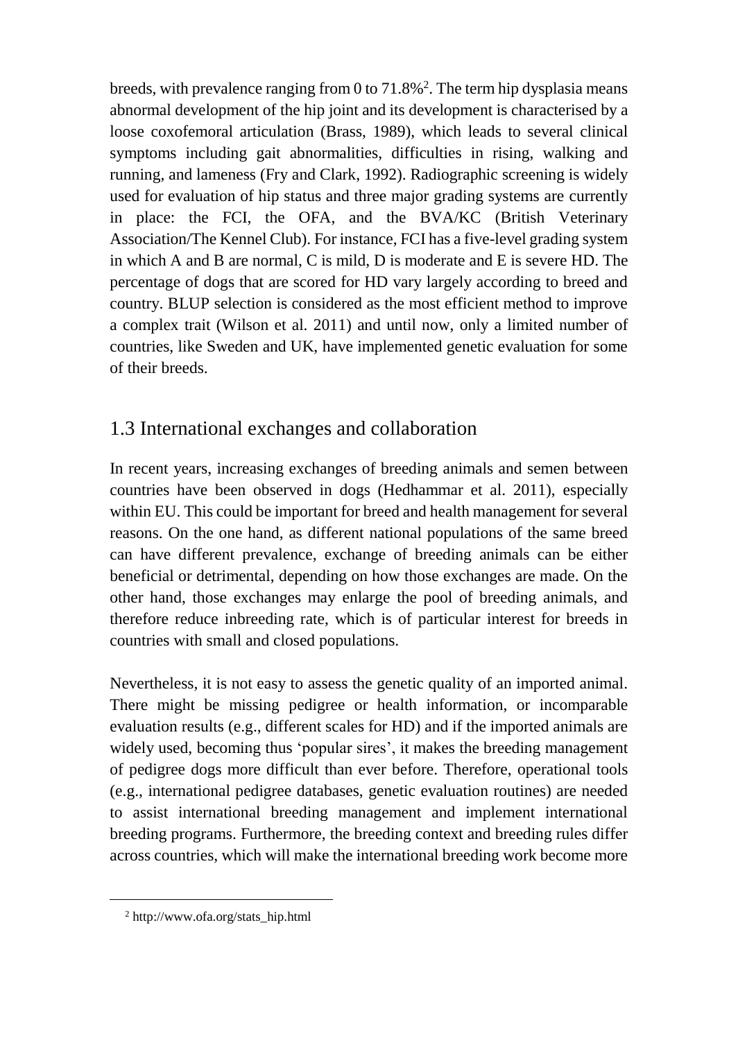breeds, with prevalence ranging from 0 to 71.8%<sup>2</sup> . The term hip dysplasia means abnormal development of the hip joint and its development is characterised by a loose coxofemoral articulation (Brass, 1989), which leads to several clinical symptoms including gait abnormalities, difficulties in rising, walking and running, and lameness (Fry and Clark, 1992). Radiographic screening is widely used for evaluation of hip status and three major grading systems are currently in place: the FCI, the OFA, and the BVA/KC (British Veterinary Association/The Kennel Club). For instance, FCI has a five-level grading system in which A and B are normal, C is mild, D is moderate and E is severe HD. The percentage of dogs that are scored for HD vary largely according to breed and country. BLUP selection is considered as the most efficient method to improve a complex trait (Wilson et al. 2011) and until now, only a limited number of countries, like Sweden and UK, have implemented genetic evaluation for some of their breeds.

# 1.3 International exchanges and collaboration

In recent years, increasing exchanges of breeding animals and semen between countries have been observed in dogs (Hedhammar et al. 2011), especially within EU. This could be important for breed and health management for several reasons. On the one hand, as different national populations of the same breed can have different prevalence, exchange of breeding animals can be either beneficial or detrimental, depending on how those exchanges are made. On the other hand, those exchanges may enlarge the pool of breeding animals, and therefore reduce inbreeding rate, which is of particular interest for breeds in countries with small and closed populations.

Nevertheless, it is not easy to assess the genetic quality of an imported animal. There might be missing pedigree or health information, or incomparable evaluation results (e.g., different scales for HD) and if the imported animals are widely used, becoming thus 'popular sires', it makes the breeding management of pedigree dogs more difficult than ever before. Therefore, operational tools (e.g., international pedigree databases, genetic evaluation routines) are needed to assist international breeding management and implement international breeding programs. Furthermore, the breeding context and breeding rules differ across countries, which will make the international breeding work become more

 $\overline{a}$ 

<sup>2</sup> http://www.ofa.org/stats\_hip.html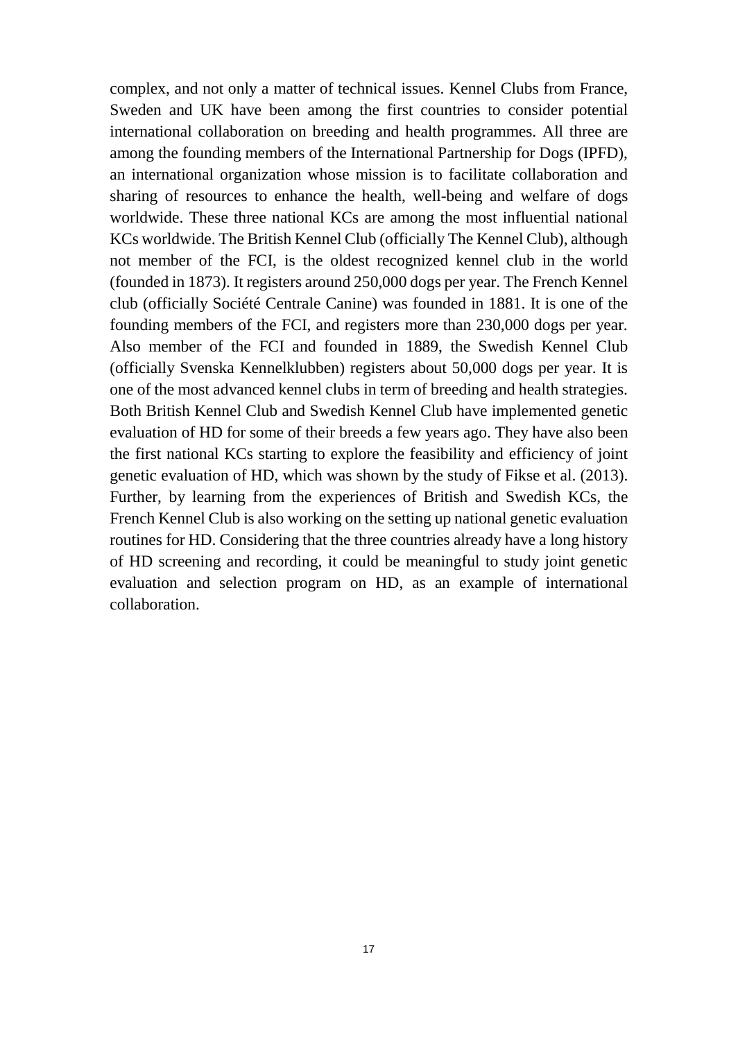complex, and not only a matter of technical issues. Kennel Clubs from France, Sweden and UK have been among the first countries to consider potential international collaboration on breeding and health programmes. All three are among the founding members of the International Partnership for Dogs (IPFD), an international organization whose mission is to facilitate collaboration and sharing of resources to enhance the health, well-being and welfare of dogs worldwide. These three national KCs are among the most influential national KCs worldwide. The British Kennel Club (officially The Kennel Club), although not member of the FCI, is the oldest recognized kennel club in the world (founded in 1873). It registers around 250,000 dogs per year. The French Kennel club (officially Société Centrale Canine) was founded in 1881. It is one of the founding members of the FCI, and registers more than 230,000 dogs per year. Also member of the FCI and founded in 1889, the Swedish Kennel Club (officially Svenska Kennelklubben) registers about 50,000 dogs per year. It is one of the most advanced kennel clubs in term of breeding and health strategies. Both British Kennel Club and Swedish Kennel Club have implemented genetic evaluation of HD for some of their breeds a few years ago. They have also been the first national KCs starting to explore the feasibility and efficiency of joint genetic evaluation of HD, which was shown by the study of Fikse et al. (2013). Further, by learning from the experiences of British and Swedish KCs, the French Kennel Club is also working on the setting up national genetic evaluation routines for HD. Considering that the three countries already have a long history of HD screening and recording, it could be meaningful to study joint genetic evaluation and selection program on HD, as an example of international collaboration.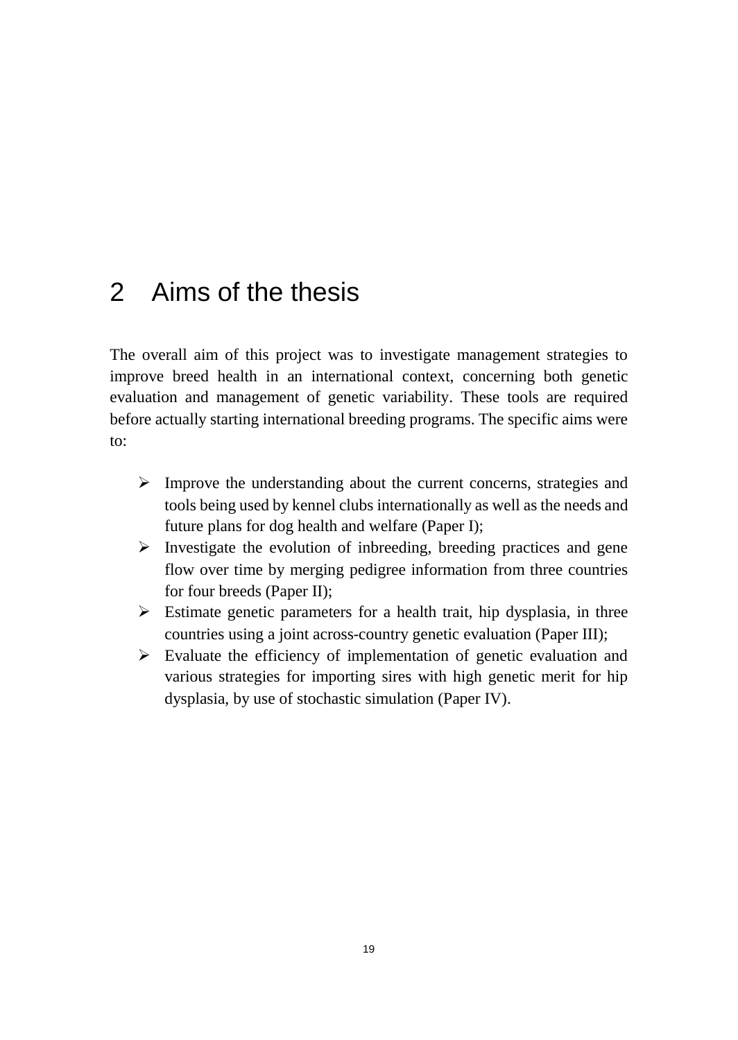# 2 Aims of the thesis

The overall aim of this project was to investigate management strategies to improve breed health in an international context, concerning both genetic evaluation and management of genetic variability. These tools are required before actually starting international breeding programs. The specific aims were to:

- $\triangleright$  Improve the understanding about the current concerns, strategies and tools being used by kennel clubs internationally as well as the needs and future plans for dog health and welfare (Paper I);
- $\triangleright$  Investigate the evolution of inbreeding, breeding practices and gene flow over time by merging pedigree information from three countries for four breeds (Paper II);
- $\triangleright$  Estimate genetic parameters for a health trait, hip dysplasia, in three countries using a joint across-country genetic evaluation (Paper III);
- $\triangleright$  Evaluate the efficiency of implementation of genetic evaluation and various strategies for importing sires with high genetic merit for hip dysplasia, by use of stochastic simulation (Paper IV).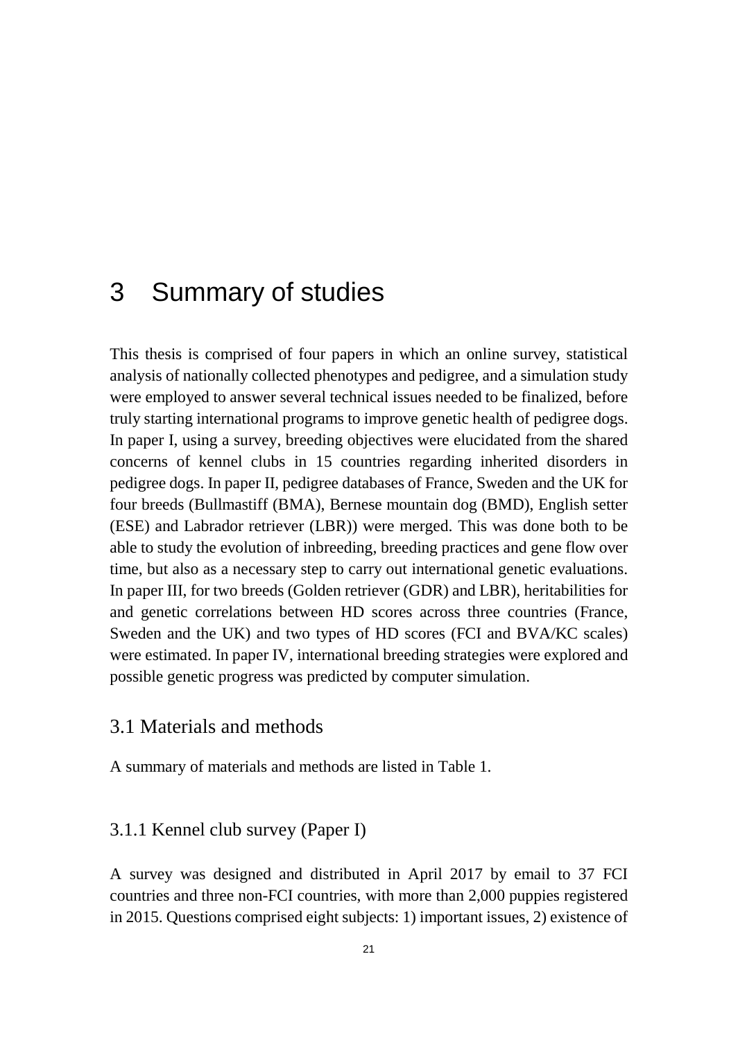# 3 Summary of studies

This thesis is comprised of four papers in which an online survey, statistical analysis of nationally collected phenotypes and pedigree, and a simulation study were employed to answer several technical issues needed to be finalized, before truly starting international programs to improve genetic health of pedigree dogs. In paper I, using a survey, breeding objectives were elucidated from the shared concerns of kennel clubs in 15 countries regarding inherited disorders in pedigree dogs. In paper II, pedigree databases of France, Sweden and the UK for four breeds (Bullmastiff (BMA), Bernese mountain dog (BMD), English setter (ESE) and Labrador retriever (LBR)) were merged. This was done both to be able to study the evolution of inbreeding, breeding practices and gene flow over time, but also as a necessary step to carry out international genetic evaluations. In paper III, for two breeds (Golden retriever (GDR) and LBR), heritabilities for and genetic correlations between HD scores across three countries (France, Sweden and the UK) and two types of HD scores (FCI and BVA/KC scales) were estimated. In paper IV, international breeding strategies were explored and possible genetic progress was predicted by computer simulation.

### 3.1 Materials and methods

A summary of materials and methods are listed in Table 1.

#### 3.1.1 Kennel club survey (Paper I)

A survey was designed and distributed in April 2017 by email to 37 FCI countries and three non-FCI countries, with more than 2,000 puppies registered in 2015. Questions comprised eight subjects: 1) important issues, 2) existence of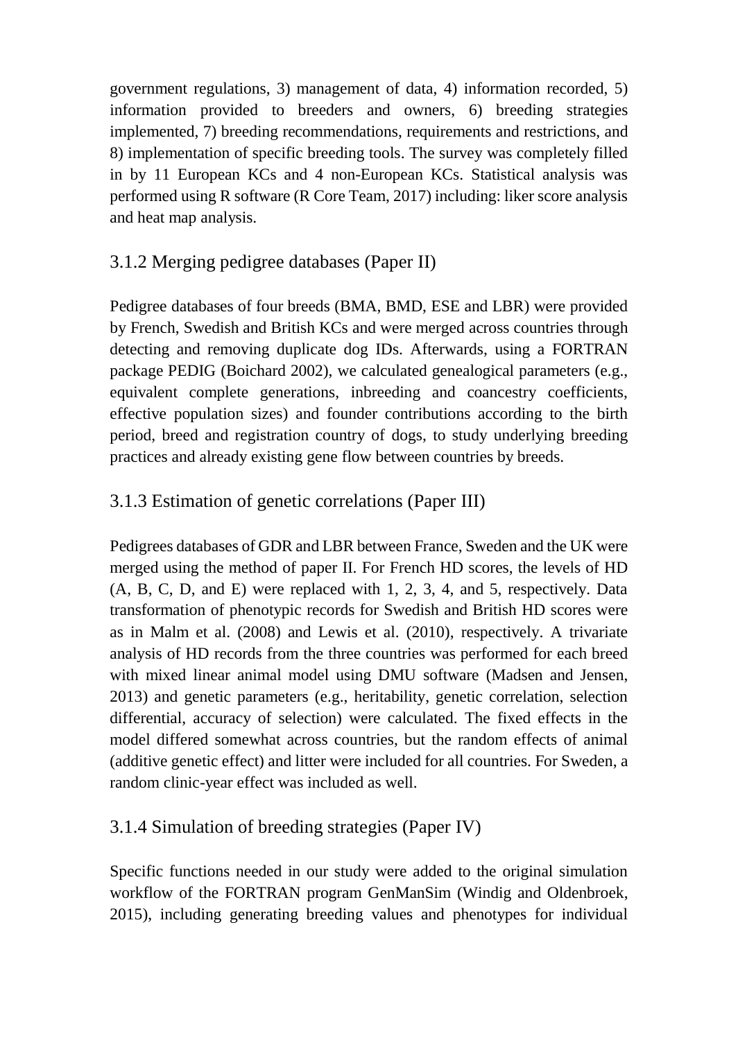government regulations, 3) management of data, 4) information recorded, 5) information provided to breeders and owners, 6) breeding strategies implemented, 7) breeding recommendations, requirements and restrictions, and 8) implementation of specific breeding tools. The survey was completely filled in by 11 European KCs and 4 non-European KCs. Statistical analysis was performed using R software (R Core Team, 2017) including: liker score analysis and heat map analysis.

# 3.1.2 Merging pedigree databases (Paper II)

Pedigree databases of four breeds (BMA, BMD, ESE and LBR) were provided by French, Swedish and British KCs and were merged across countries through detecting and removing duplicate dog IDs. Afterwards, using a FORTRAN package PEDIG (Boichard 2002), we calculated genealogical parameters (e.g., equivalent complete generations, inbreeding and coancestry coefficients, effective population sizes) and founder contributions according to the birth period, breed and registration country of dogs, to study underlying breeding practices and already existing gene flow between countries by breeds.

# 3.1.3 Estimation of genetic correlations (Paper III)

Pedigrees databases of GDR and LBR between France, Sweden and the UK were merged using the method of paper II. For French HD scores, the levels of HD (A, B, C, D, and E) were replaced with 1, 2, 3, 4, and 5, respectively. Data transformation of phenotypic records for Swedish and British HD scores were as in Malm et al. (2008) and Lewis et al. (2010), respectively. A trivariate analysis of HD records from the three countries was performed for each breed with mixed linear animal model using DMU software (Madsen and Jensen, 2013) and genetic parameters (e.g., heritability, genetic correlation, selection differential, accuracy of selection) were calculated. The fixed effects in the model differed somewhat across countries, but the random effects of animal (additive genetic effect) and litter were included for all countries. For Sweden, a random clinic-year effect was included as well.

### 3.1.4 Simulation of breeding strategies (Paper IV)

Specific functions needed in our study were added to the original simulation workflow of the FORTRAN program GenManSim (Windig and Oldenbroek, 2015), including generating breeding values and phenotypes for individual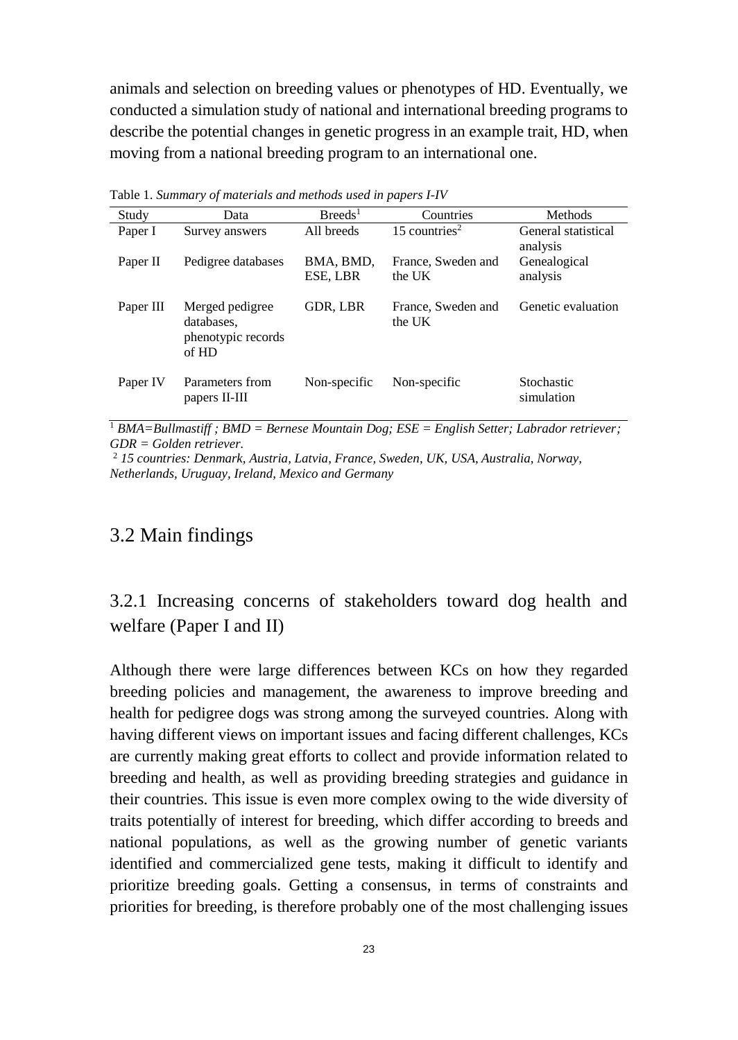animals and selection on breeding values or phenotypes of HD. Eventually, we conducted a simulation study of national and international breeding programs to describe the potential changes in genetic progress in an example trait, HD, when moving from a national breeding program to an international one.

| Study     | Data                                                         | Breeds <sup>1</sup>   | Countries                    | Methods                         |
|-----------|--------------------------------------------------------------|-----------------------|------------------------------|---------------------------------|
| Paper I   | Survey answers                                               | All breeds            | 15 countries <sup>2</sup>    | General statistical<br>analysis |
| Paper II  | Pedigree databases                                           | BMA, BMD,<br>ESE, LBR | France, Sweden and<br>the UK | Genealogical<br>analysis        |
| Paper III | Merged pedigree<br>databases.<br>phenotypic records<br>of HD | GDR, LBR              | France, Sweden and<br>the UK | Genetic evaluation              |
| Paper IV  | Parameters from<br>papers II-III                             | Non-specific          | Non-specific                 | Stochastic<br>simulation        |

Table 1. *Summary of materials and methods used in papers I-IV*

<sup>1</sup> *BMA=Bullmastiff ; BMD = Bernese Mountain Dog; ESE = English Setter; Labrador retriever; GDR = Golden retriever.*

<sup>2</sup> *15 countries: Denmark, Austria, Latvia, France, Sweden, UK, USA, Australia, Norway, Netherlands, Uruguay, Ireland, Mexico and Germany*

# 3.2 Main findings

3.2.1 Increasing concerns of stakeholders toward dog health and welfare (Paper I and II)

Although there were large differences between KCs on how they regarded breeding policies and management, the awareness to improve breeding and health for pedigree dogs was strong among the surveyed countries. Along with having different views on important issues and facing different challenges, KCs are currently making great efforts to collect and provide information related to breeding and health, as well as providing breeding strategies and guidance in their countries. This issue is even more complex owing to the wide diversity of traits potentially of interest for breeding, which differ according to breeds and national populations, as well as the growing number of genetic variants identified and commercialized gene tests, making it difficult to identify and prioritize breeding goals. Getting a consensus, in terms of constraints and priorities for breeding, is therefore probably one of the most challenging issues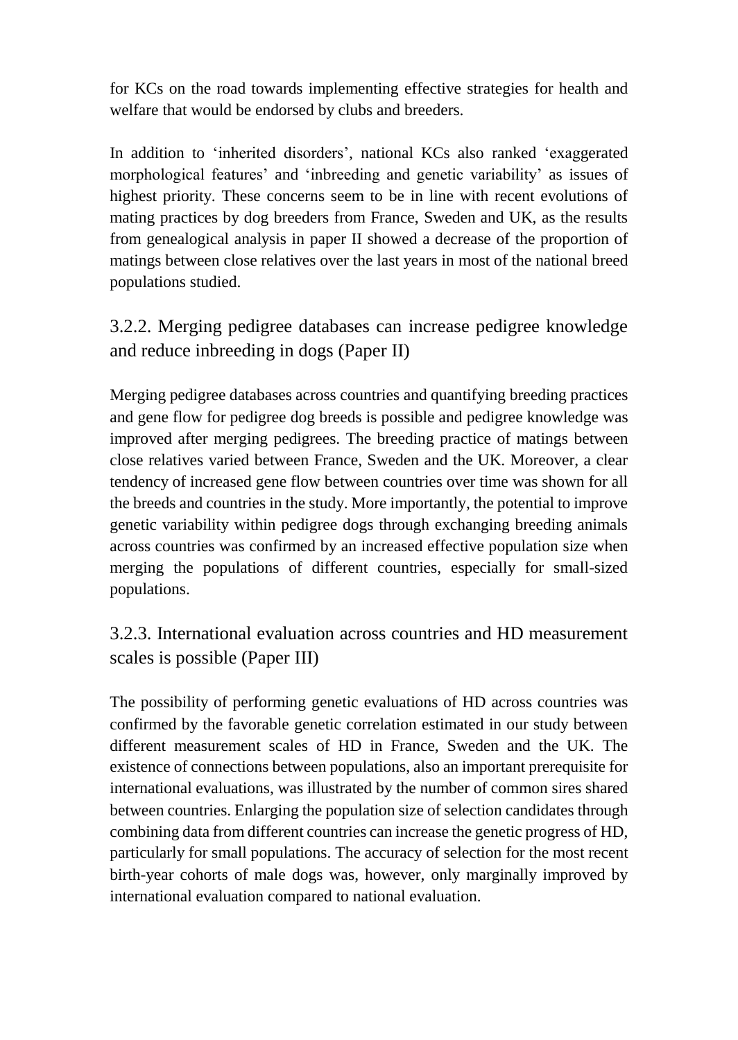for KCs on the road towards implementing effective strategies for health and welfare that would be endorsed by clubs and breeders.

In addition to 'inherited disorders', national KCs also ranked 'exaggerated morphological features' and 'inbreeding and genetic variability' as issues of highest priority. These concerns seem to be in line with recent evolutions of mating practices by dog breeders from France, Sweden and UK, as the results from genealogical analysis in paper II showed a decrease of the proportion of matings between close relatives over the last years in most of the national breed populations studied.

3.2.2. Merging pedigree databases can increase pedigree knowledge and reduce inbreeding in dogs (Paper II)

Merging pedigree databases across countries and quantifying breeding practices and gene flow for pedigree dog breeds is possible and pedigree knowledge was improved after merging pedigrees. The breeding practice of matings between close relatives varied between France, Sweden and the UK. Moreover, a clear tendency of increased gene flow between countries over time was shown for all the breeds and countries in the study. More importantly, the potential to improve genetic variability within pedigree dogs through exchanging breeding animals across countries was confirmed by an increased effective population size when merging the populations of different countries, especially for small-sized populations.

3.2.3. International evaluation across countries and HD measurement scales is possible (Paper III)

The possibility of performing genetic evaluations of HD across countries was confirmed by the favorable genetic correlation estimated in our study between different measurement scales of HD in France, Sweden and the UK. The existence of connections between populations, also an important prerequisite for international evaluations, was illustrated by the number of common sires shared between countries. Enlarging the population size of selection candidates through combining data from different countries can increase the genetic progress of HD, particularly for small populations. The accuracy of selection for the most recent birth-year cohorts of male dogs was, however, only marginally improved by international evaluation compared to national evaluation.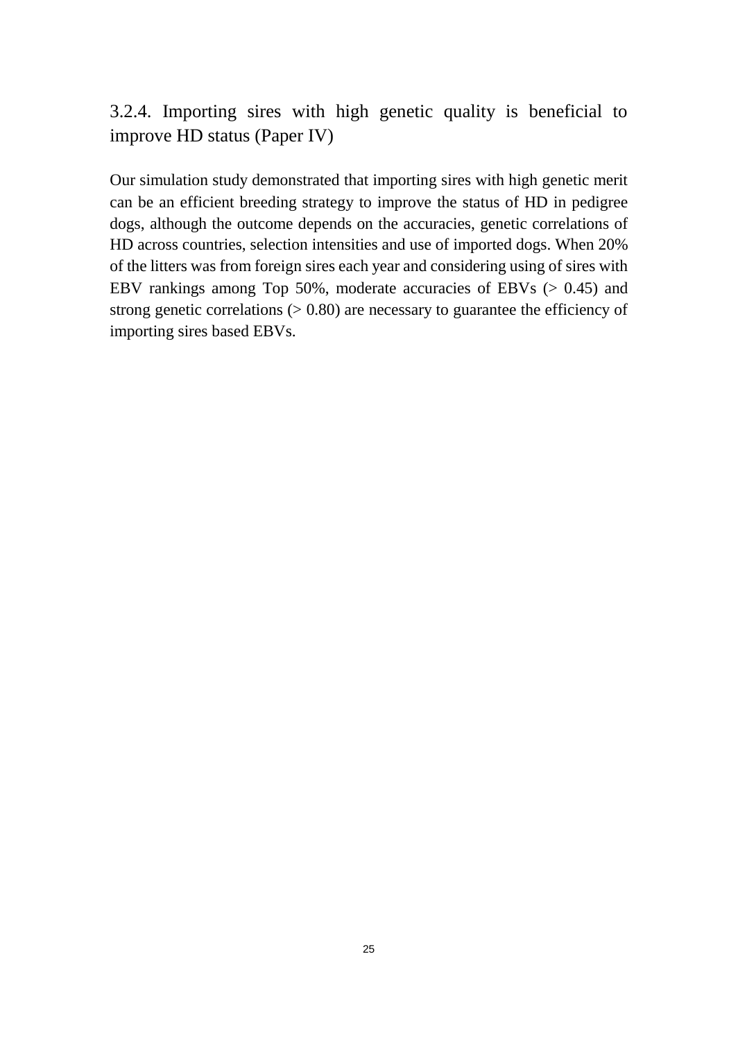# 3.2.4. Importing sires with high genetic quality is beneficial to improve HD status (Paper IV)

Our simulation study demonstrated that importing sires with high genetic merit can be an efficient breeding strategy to improve the status of HD in pedigree dogs, although the outcome depends on the accuracies, genetic correlations of HD across countries, selection intensities and use of imported dogs. When 20% of the litters was from foreign sires each year and considering using of sires with EBV rankings among Top 50%, moderate accuracies of EBVs (> 0.45) and strong genetic correlations  $(> 0.80)$  are necessary to guarantee the efficiency of importing sires based EBVs.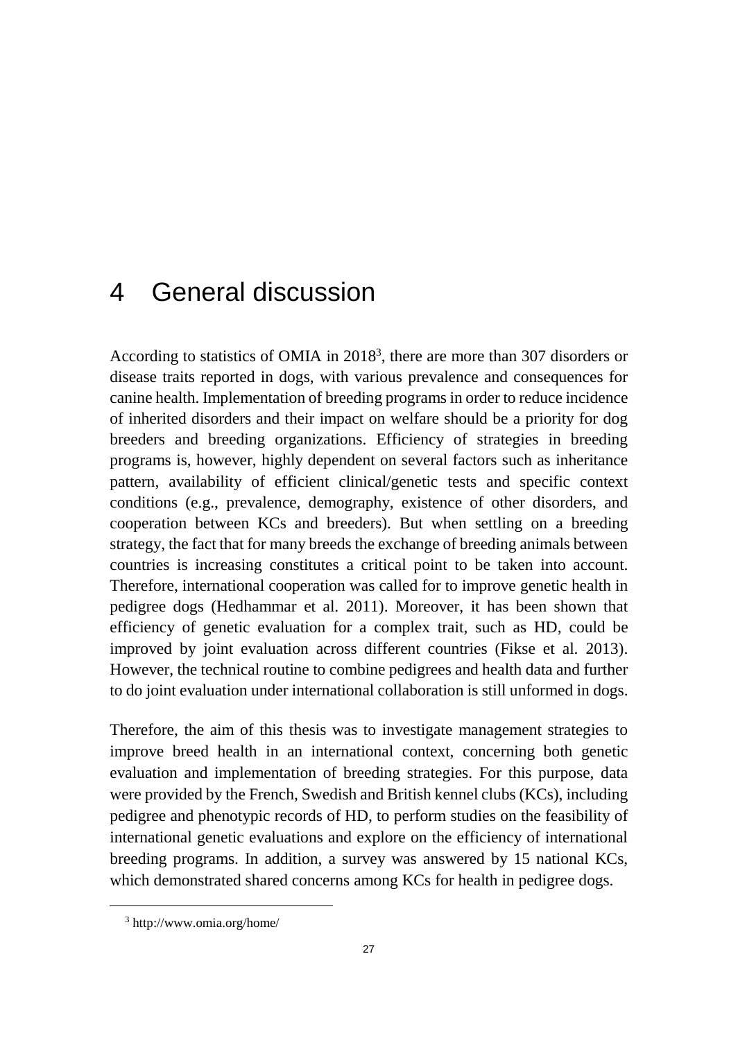# 4 General discussion

According to statistics of OMIA in 2018<sup>3</sup> , there are more than 307 disorders or disease traits reported in dogs, with various prevalence and consequences for canine health. Implementation of breeding programs in order to reduce incidence of inherited disorders and their impact on welfare should be a priority for dog breeders and breeding organizations. Efficiency of strategies in breeding programs is, however, highly dependent on several factors such as inheritance pattern, availability of efficient clinical/genetic tests and specific context conditions (e.g., prevalence, demography, existence of other disorders, and cooperation between KCs and breeders). But when settling on a breeding strategy, the fact that for many breeds the exchange of breeding animals between countries is increasing constitutes a critical point to be taken into account. Therefore, international cooperation was called for to improve genetic health in pedigree dogs (Hedhammar et al. 2011). Moreover, it has been shown that efficiency of genetic evaluation for a complex trait, such as HD, could be improved by joint evaluation across different countries (Fikse et al. 2013). However, the technical routine to combine pedigrees and health data and further to do joint evaluation under international collaboration is still unformed in dogs.

Therefore, the aim of this thesis was to investigate management strategies to improve breed health in an international context, concerning both genetic evaluation and implementation of breeding strategies. For this purpose, data were provided by the French, Swedish and British kennel clubs (KCs), including pedigree and phenotypic records of HD, to perform studies on the feasibility of international genetic evaluations and explore on the efficiency of international breeding programs. In addition, a survey was answered by 15 national KCs, which demonstrated shared concerns among KCs for health in pedigree dogs.

 $\overline{a}$ 

<sup>3</sup> http://www.omia.org/home/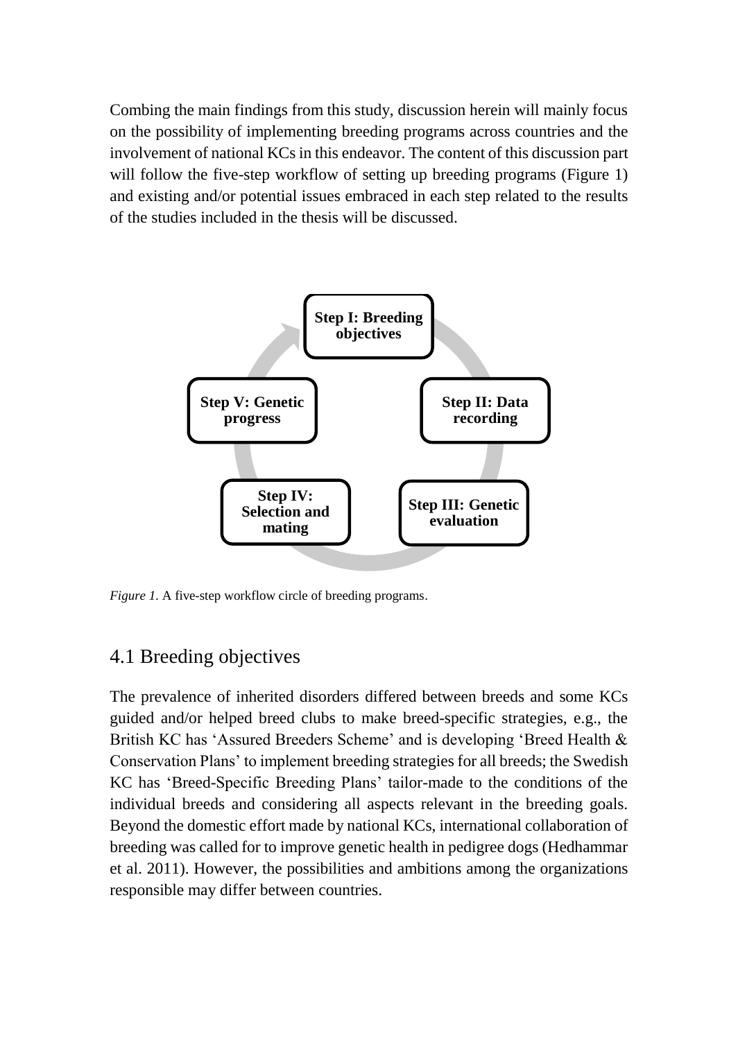Combing the main findings from this study, discussion herein will mainly focus on the possibility of implementing breeding programs across countries and the involvement of national KCs in this endeavor. The content of this discussion part will follow the five-step workflow of setting up breeding programs (Figure 1) and existing and/or potential issues embraced in each step related to the results of the studies included in the thesis will be discussed.



*Figure 1.* A five-step workflow circle of breeding programs.

# 4.1 Breeding objectives

The prevalence of inherited disorders differed between breeds and some KCs guided and/or helped breed clubs to make breed-specific strategies, e.g., the British KC has 'Assured Breeders Scheme' and is developing 'Breed Health & Conservation Plans' to implement breeding strategies for all breeds; the Swedish KC has 'Breed-Specific Breeding Plans' tailor-made to the conditions of the individual breeds and considering all aspects relevant in the breeding goals. Beyond the domestic effort made by national KCs, international collaboration of breeding was called for to improve genetic health in pedigree dogs (Hedhammar et al. 2011). However, the possibilities and ambitions among the organizations responsible may differ between countries.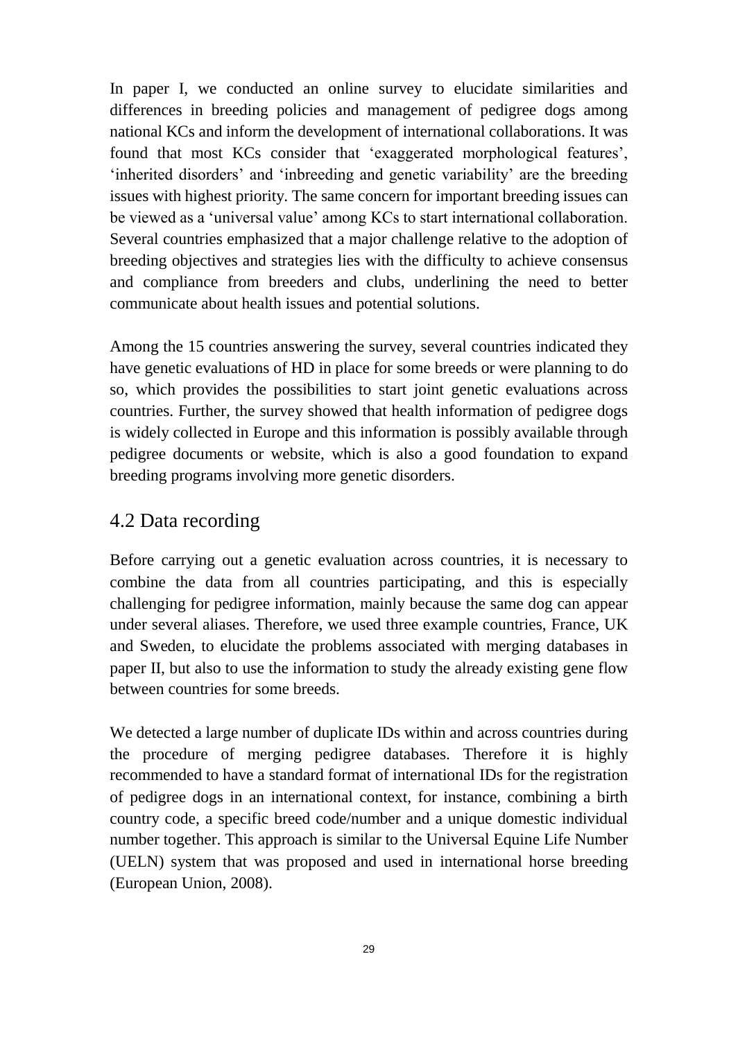In paper I, we conducted an online survey to elucidate similarities and differences in breeding policies and management of pedigree dogs among national KCs and inform the development of international collaborations. It was found that most KCs consider that 'exaggerated morphological features', 'inherited disorders' and 'inbreeding and genetic variability' are the breeding issues with highest priority. The same concern for important breeding issues can be viewed as a 'universal value' among KCs to start international collaboration. Several countries emphasized that a major challenge relative to the adoption of breeding objectives and strategies lies with the difficulty to achieve consensus and compliance from breeders and clubs, underlining the need to better communicate about health issues and potential solutions.

Among the 15 countries answering the survey, several countries indicated they have genetic evaluations of HD in place for some breeds or were planning to do so, which provides the possibilities to start joint genetic evaluations across countries. Further, the survey showed that health information of pedigree dogs is widely collected in Europe and this information is possibly available through pedigree documents or website, which is also a good foundation to expand breeding programs involving more genetic disorders.

#### 4.2 Data recording

Before carrying out a genetic evaluation across countries, it is necessary to combine the data from all countries participating, and this is especially challenging for pedigree information, mainly because the same dog can appear under several aliases. Therefore, we used three example countries, France, UK and Sweden, to elucidate the problems associated with merging databases in paper II, but also to use the information to study the already existing gene flow between countries for some breeds.

We detected a large number of duplicate IDs within and across countries during the procedure of merging pedigree databases. Therefore it is highly recommended to have a standard format of international IDs for the registration of pedigree dogs in an international context, for instance, combining a birth country code, a specific breed code/number and a unique domestic individual number together. This approach is similar to the Universal Equine Life Number (UELN) system that was proposed and used in international horse breeding (European Union, 2008).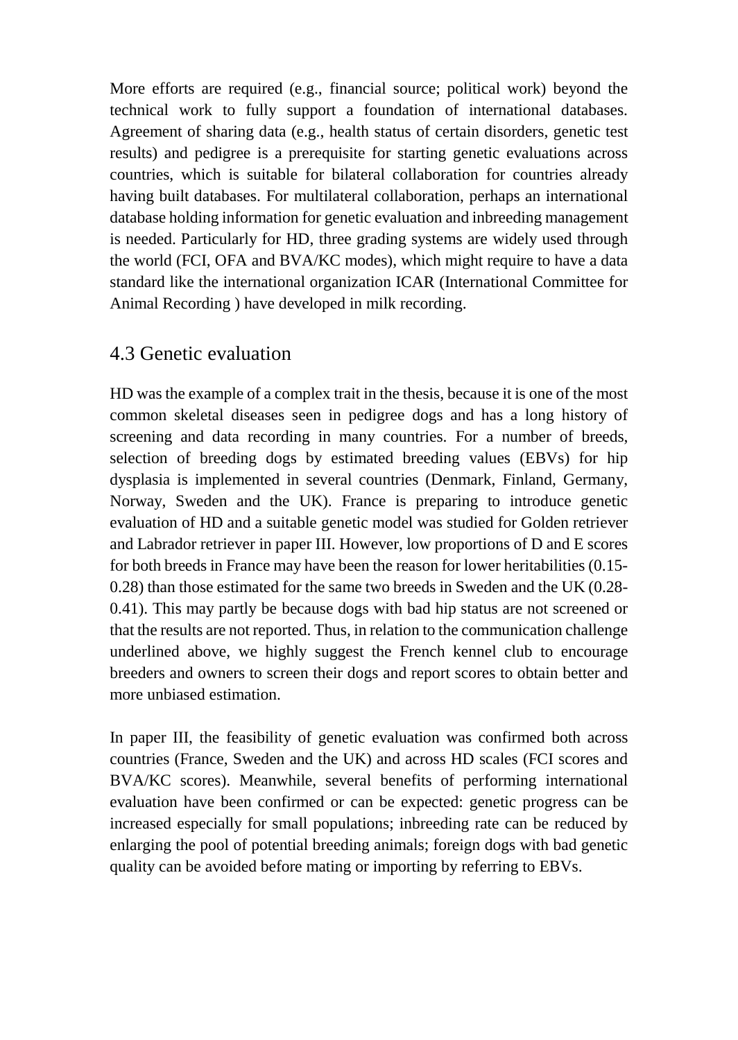More efforts are required (e.g., financial source; political work) beyond the technical work to fully support a foundation of international databases. Agreement of sharing data (e.g., health status of certain disorders, genetic test results) and pedigree is a prerequisite for starting genetic evaluations across countries, which is suitable for bilateral collaboration for countries already having built databases. For multilateral collaboration, perhaps an international database holding information for genetic evaluation and inbreeding management is needed. Particularly for HD, three grading systems are widely used through the world (FCI, OFA and BVA/KC modes), which might require to have a data standard like the international organization ICAR (International Committee for Animal Recording ) have developed in milk recording.

### 4.3 Genetic evaluation

HD was the example of a complex trait in the thesis, because it is one of the most common skeletal diseases seen in pedigree dogs and has a long history of screening and data recording in many countries. For a number of breeds, selection of breeding dogs by estimated breeding values (EBVs) for hip dysplasia is implemented in several countries (Denmark, Finland, Germany, Norway, Sweden and the UK). France is preparing to introduce genetic evaluation of HD and a suitable genetic model was studied for Golden retriever and Labrador retriever in paper III. However, low proportions of D and E scores for both breeds in France may have been the reason for lower heritabilities (0.15- 0.28) than those estimated for the same two breeds in Sweden and the UK (0.28- 0.41). This may partly be because dogs with bad hip status are not screened or that the results are not reported. Thus, in relation to the communication challenge underlined above, we highly suggest the French kennel club to encourage breeders and owners to screen their dogs and report scores to obtain better and more unbiased estimation.

In paper III, the feasibility of genetic evaluation was confirmed both across countries (France, Sweden and the UK) and across HD scales (FCI scores and BVA/KC scores). Meanwhile, several benefits of performing international evaluation have been confirmed or can be expected: genetic progress can be increased especially for small populations; inbreeding rate can be reduced by enlarging the pool of potential breeding animals; foreign dogs with bad genetic quality can be avoided before mating or importing by referring to EBVs.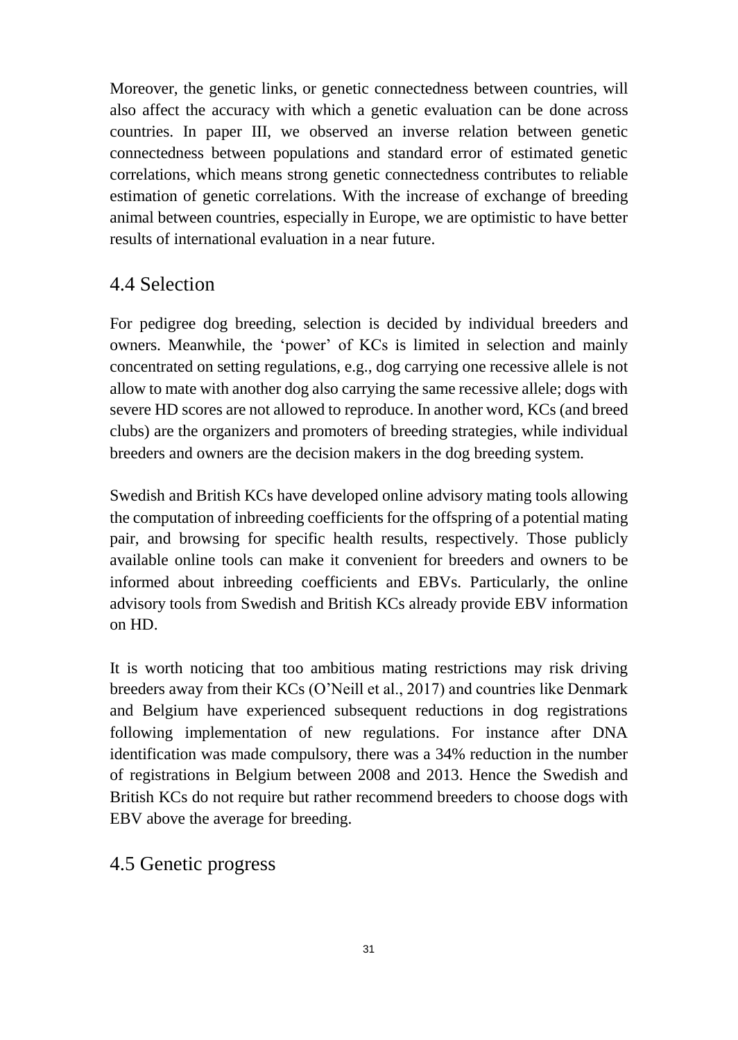Moreover, the genetic links, or genetic connectedness between countries, will also affect the accuracy with which a genetic evaluation can be done across countries. In paper III, we observed an inverse relation between genetic connectedness between populations and standard error of estimated genetic correlations, which means strong genetic connectedness contributes to reliable estimation of genetic correlations. With the increase of exchange of breeding animal between countries, especially in Europe, we are optimistic to have better results of international evaluation in a near future.

#### 4.4 Selection

For pedigree dog breeding, selection is decided by individual breeders and owners. Meanwhile, the 'power' of KCs is limited in selection and mainly concentrated on setting regulations, e.g., dog carrying one recessive allele is not allow to mate with another dog also carrying the same recessive allele; dogs with severe HD scores are not allowed to reproduce. In another word, KCs (and breed clubs) are the organizers and promoters of breeding strategies, while individual breeders and owners are the decision makers in the dog breeding system.

Swedish and British KCs have developed online advisory mating tools allowing the computation of inbreeding coefficients for the offspring of a potential mating pair, and browsing for specific health results, respectively. Those publicly available online tools can make it convenient for breeders and owners to be informed about inbreeding coefficients and EBVs. Particularly, the online advisory tools from Swedish and British KCs already provide EBV information on HD.

It is worth noticing that too ambitious mating restrictions may risk driving breeders away from their KCs (O'Neill et al., 2017) and countries like Denmark and Belgium have experienced subsequent reductions in dog registrations following implementation of new regulations. For instance after DNA identification was made compulsory, there was a 34% reduction in the number of registrations in Belgium between 2008 and 2013. Hence the Swedish and British KCs do not require but rather recommend breeders to choose dogs with EBV above the average for breeding.

### 4.5 Genetic progress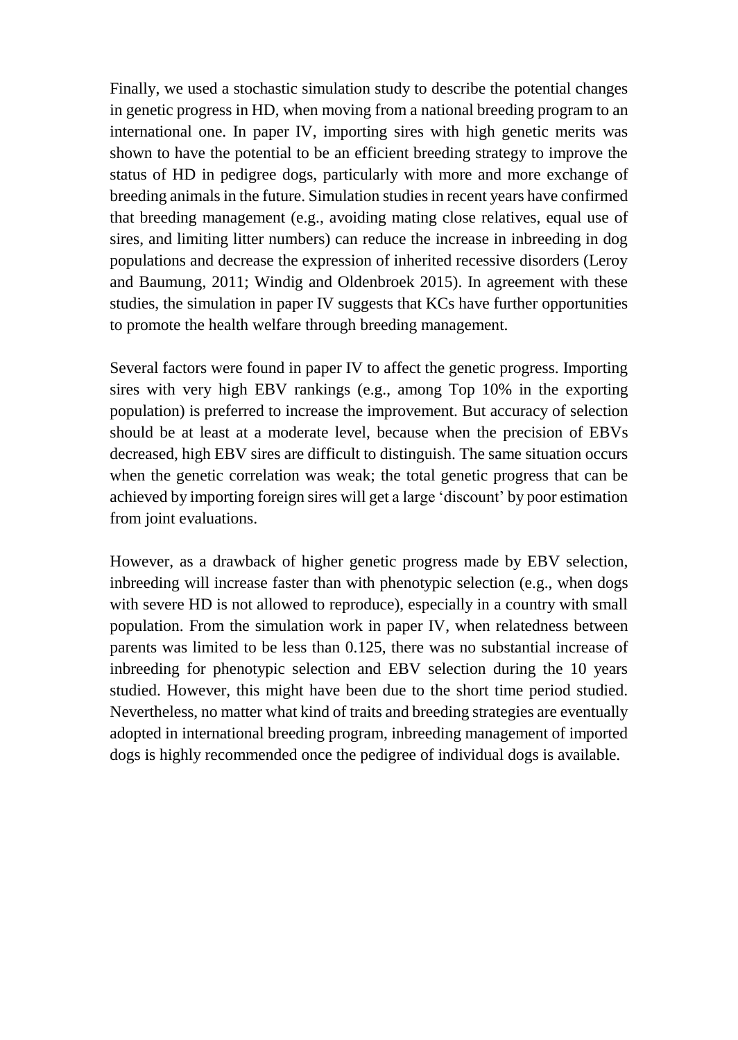Finally, we used a stochastic simulation study to describe the potential changes in genetic progress in HD, when moving from a national breeding program to an international one. In paper IV, importing sires with high genetic merits was shown to have the potential to be an efficient breeding strategy to improve the status of HD in pedigree dogs, particularly with more and more exchange of breeding animals in the future. Simulation studies in recent years have confirmed that breeding management (e.g., avoiding mating close relatives, equal use of sires, and limiting litter numbers) can reduce the increase in inbreeding in dog populations and decrease the expression of inherited recessive disorders (Leroy and Baumung, 2011; Windig and Oldenbroek 2015). In agreement with these studies, the simulation in paper IV suggests that KCs have further opportunities to promote the health welfare through breeding management.

Several factors were found in paper IV to affect the genetic progress. Importing sires with very high EBV rankings (e.g., among Top 10% in the exporting population) is preferred to increase the improvement. But accuracy of selection should be at least at a moderate level, because when the precision of EBVs decreased, high EBV sires are difficult to distinguish. The same situation occurs when the genetic correlation was weak; the total genetic progress that can be achieved by importing foreign sires will get a large 'discount' by poor estimation from joint evaluations.

However, as a drawback of higher genetic progress made by EBV selection, inbreeding will increase faster than with phenotypic selection (e.g., when dogs with severe HD is not allowed to reproduce), especially in a country with small population. From the simulation work in paper IV, when relatedness between parents was limited to be less than 0.125, there was no substantial increase of inbreeding for phenotypic selection and EBV selection during the 10 years studied. However, this might have been due to the short time period studied. Nevertheless, no matter what kind of traits and breeding strategies are eventually adopted in international breeding program, inbreeding management of imported dogs is highly recommended once the pedigree of individual dogs is available.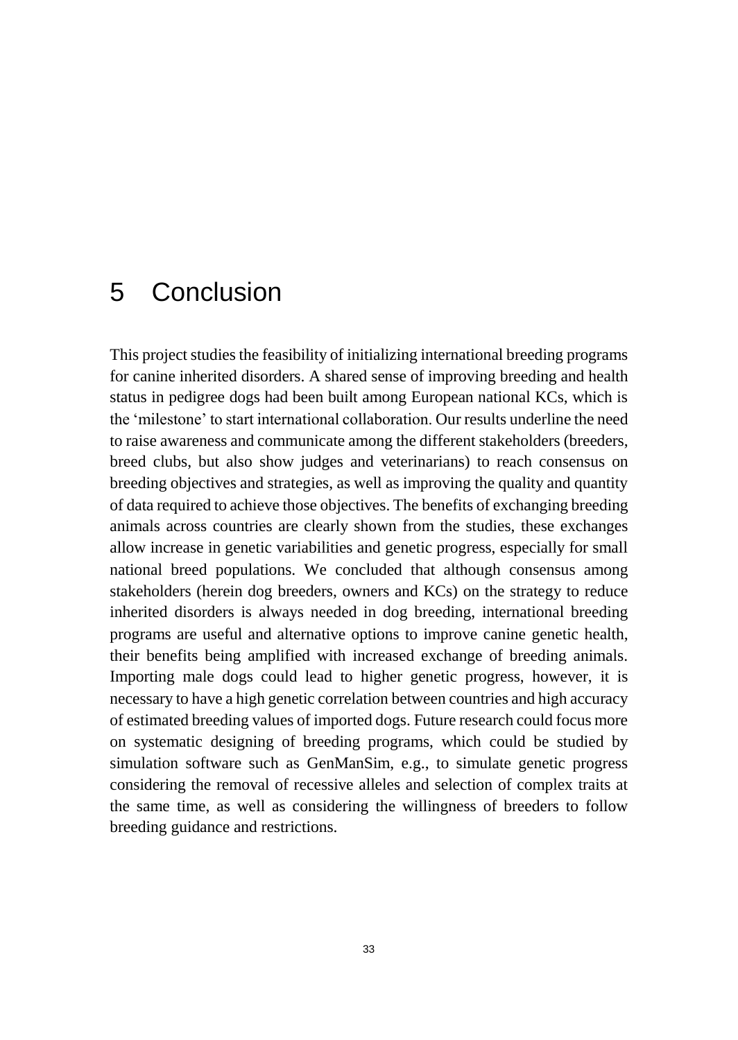# 5 Conclusion

This project studies the feasibility of initializing international breeding programs for canine inherited disorders. A shared sense of improving breeding and health status in pedigree dogs had been built among European national KCs, which is the 'milestone' to start international collaboration. Our results underline the need to raise awareness and communicate among the different stakeholders (breeders, breed clubs, but also show judges and veterinarians) to reach consensus on breeding objectives and strategies, as well as improving the quality and quantity of data required to achieve those objectives. The benefits of exchanging breeding animals across countries are clearly shown from the studies, these exchanges allow increase in genetic variabilities and genetic progress, especially for small national breed populations. We concluded that although consensus among stakeholders (herein dog breeders, owners and KCs) on the strategy to reduce inherited disorders is always needed in dog breeding, international breeding programs are useful and alternative options to improve canine genetic health, their benefits being amplified with increased exchange of breeding animals. Importing male dogs could lead to higher genetic progress, however, it is necessary to have a high genetic correlation between countries and high accuracy of estimated breeding values of imported dogs. Future research could focus more on systematic designing of breeding programs, which could be studied by simulation software such as GenManSim, e.g., to simulate genetic progress considering the removal of recessive alleles and selection of complex traits at the same time, as well as considering the willingness of breeders to follow breeding guidance and restrictions.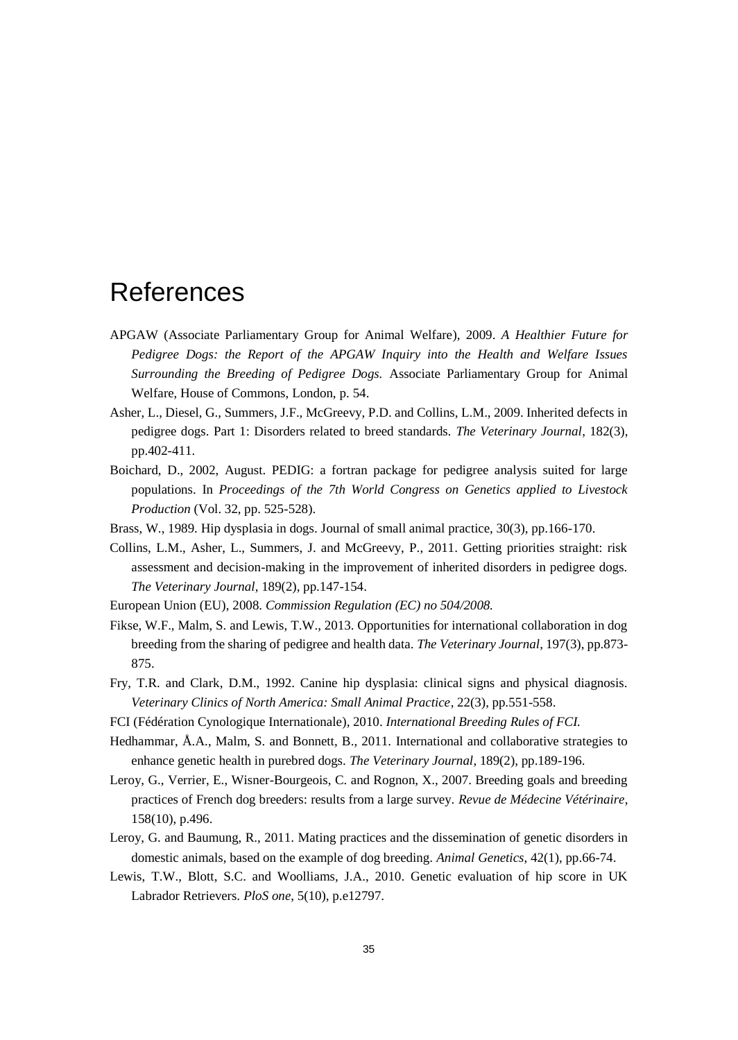# <span id="page-34-0"></span>References

- APGAW (Associate Parliamentary Group for Animal Welfare), 2009. *A Healthier Future for Pedigree Dogs: the Report of the APGAW Inquiry into the Health and Welfare Issues Surrounding the Breeding of Pedigree Dogs.* Associate Parliamentary Group for Animal Welfare, House of Commons, London, p. 54.
- Asher, L., Diesel, G., Summers, J.F., McGreevy, P.D. and Collins, L.M., 2009. Inherited defects in pedigree dogs. Part 1: Disorders related to breed standards. *The Veterinary Journal*, 182(3), pp.402-411.
- Boichard, D., 2002, August. PEDIG: a fortran package for pedigree analysis suited for large populations. In *Proceedings of the 7th World Congress on Genetics applied to Livestock Production* (Vol. 32, pp. 525-528).
- Brass, W., 1989. Hip dysplasia in dogs. Journal of small animal practice, 30(3), pp.166-170.
- Collins, L.M., Asher, L., Summers, J. and McGreevy, P., 2011. Getting priorities straight: risk assessment and decision-making in the improvement of inherited disorders in pedigree dogs. *The Veterinary Journal*, 189(2), pp.147-154.
- European Union (EU), 2008. *Commission Regulation (EC) no 504/2008.*
- Fikse, W.F., Malm, S. and Lewis, T.W., 2013. Opportunities for international collaboration in dog breeding from the sharing of pedigree and health data. *The Veterinary Journal*, 197(3), pp.873- 875.
- Fry, T.R. and Clark, D.M., 1992. Canine hip dysplasia: clinical signs and physical diagnosis. *Veterinary Clinics of North America: Small Animal Practice*, 22(3), pp.551-558.
- FCI (Fédération Cynologique Internationale), 2010. *International Breeding Rules of FCI.*
- Hedhammar, Å.A., Malm, S. and Bonnett, B., 2011. International and collaborative strategies to enhance genetic health in purebred dogs. *The Veterinary Journal*, 189(2), pp.189-196.
- Leroy, G., Verrier, E., Wisner-Bourgeois, C. and Rognon, X., 2007. Breeding goals and breeding practices of French dog breeders: results from a large survey. *Revue de Médecine Vétérinaire*, 158(10), p.496.
- Leroy, G. and Baumung, R., 2011. Mating practices and the dissemination of genetic disorders in domestic animals, based on the example of dog breeding. *Animal Genetics*, 42(1), pp.66-74.
- Lewis, T.W., Blott, S.C. and Woolliams, J.A., 2010. Genetic evaluation of hip score in UK Labrador Retrievers. *PloS one*, 5(10), p.e12797.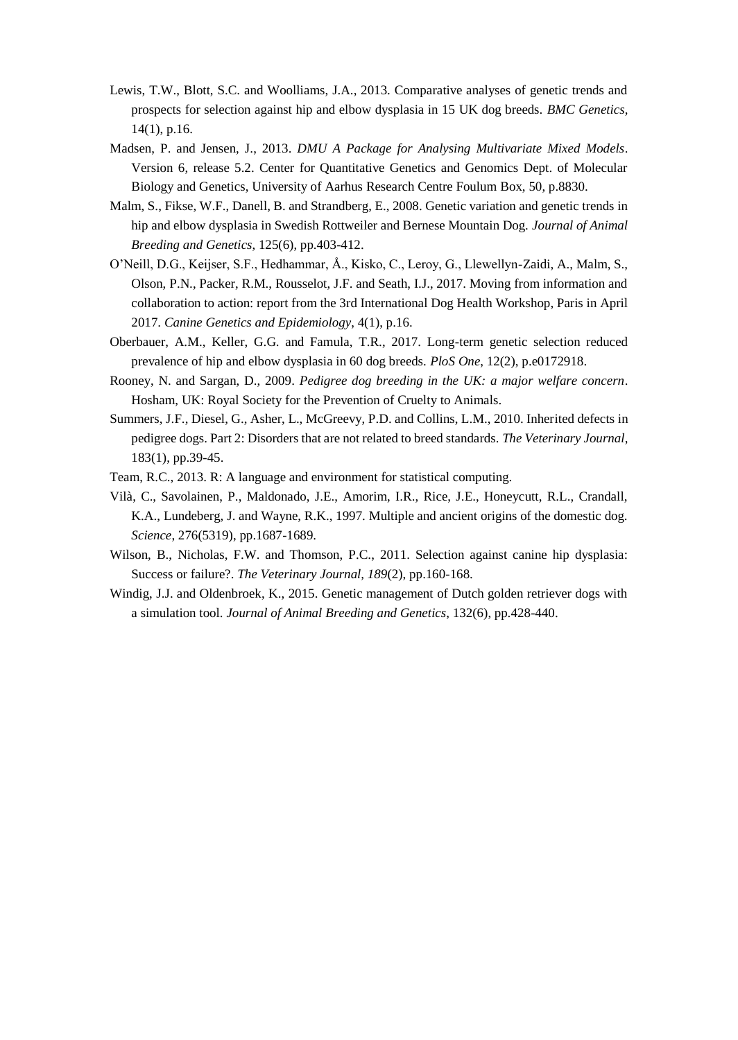- Lewis, T.W., Blott, S.C. and Woolliams, J.A., 2013. Comparative analyses of genetic trends and prospects for selection against hip and elbow dysplasia in 15 UK dog breeds. *BMC Genetics*, 14(1), p.16.
- Madsen, P. and Jensen, J., 2013. *DMU A Package for Analysing Multivariate Mixed Models*. Version 6, release 5.2. Center for Quantitative Genetics and Genomics Dept. of Molecular Biology and Genetics, University of Aarhus Research Centre Foulum Box, 50, p.8830.
- Malm, S., Fikse, W.F., Danell, B. and Strandberg, E., 2008. Genetic variation and genetic trends in hip and elbow dysplasia in Swedish Rottweiler and Bernese Mountain Dog. *Journal of Animal Breeding and Genetics*, 125(6), pp.403-412.
- O'Neill, D.G., Keijser, S.F., Hedhammar, Å., Kisko, C., Leroy, G., Llewellyn-Zaidi, A., Malm, S., Olson, P.N., Packer, R.M., Rousselot, J.F. and Seath, I.J., 2017. Moving from information and collaboration to action: report from the 3rd International Dog Health Workshop, Paris in April 2017. *Canine Genetics and Epidemiology*, 4(1), p.16.
- Oberbauer, A.M., Keller, G.G. and Famula, T.R., 2017. Long-term genetic selection reduced prevalence of hip and elbow dysplasia in 60 dog breeds. *PloS One*, 12(2), p.e0172918.
- Rooney, N. and Sargan, D., 2009. *Pedigree dog breeding in the UK: a major welfare concern*. Hosham, UK: Royal Society for the Prevention of Cruelty to Animals.
- Summers, J.F., Diesel, G., Asher, L., McGreevy, P.D. and Collins, L.M., 2010. Inherited defects in pedigree dogs. Part 2: Disorders that are not related to breed standards. *The Veterinary Journal*, 183(1), pp.39-45.
- Team, R.C., 2013. R: A language and environment for statistical computing.
- Vilà, C., Savolainen, P., Maldonado, J.E., Amorim, I.R., Rice, J.E., Honeycutt, R.L., Crandall, K.A., Lundeberg, J. and Wayne, R.K., 1997. Multiple and ancient origins of the domestic dog. *Science*, 276(5319), pp.1687-1689.
- Wilson, B., Nicholas, F.W. and Thomson, P.C., 2011. Selection against canine hip dysplasia: Success or failure?. *The Veterinary Journal, 189*(2), pp.160-168.
- Windig, J.J. and Oldenbroek, K., 2015. Genetic management of Dutch golden retriever dogs with a simulation tool. *Journal of Animal Breeding and Genetics*, 132(6), pp.428-440.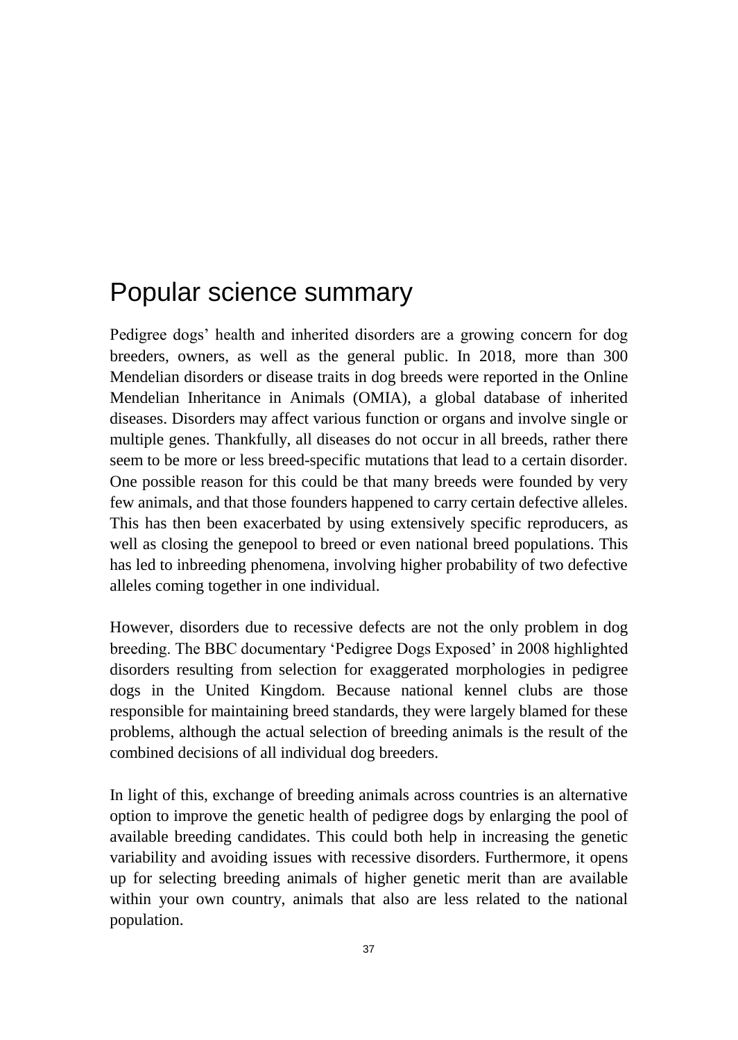# Popular science summary

Pedigree dogs' health and inherited disorders are a growing concern for dog breeders, owners, as well as the general public. In 2018, more than 300 Mendelian disorders or disease traits in dog breeds were reported in the Online Mendelian Inheritance in Animals (OMIA), a global database of inherited diseases. Disorders may affect various function or organs and involve single or multiple genes. Thankfully, all diseases do not occur in all breeds, rather there seem to be more or less breed-specific mutations that lead to a certain disorder. One possible reason for this could be that many breeds were founded by very few animals, and that those founders happened to carry certain defective alleles. This has then been exacerbated by using extensively specific reproducers, as well as closing the genepool to breed or even national breed populations. This has led to inbreeding phenomena, involving higher probability of two defective alleles coming together in one individual.

However, disorders due to recessive defects are not the only problem in dog breeding. The BBC documentary 'Pedigree Dogs Exposed' in 2008 highlighted disorders resulting from selection for exaggerated morphologies in pedigree dogs in the United Kingdom. Because national kennel clubs are those responsible for maintaining breed standards, they were largely blamed for these problems, although the actual selection of breeding animals is the result of the combined decisions of all individual dog breeders.

In light of this, exchange of breeding animals across countries is an alternative option to improve the genetic health of pedigree dogs by enlarging the pool of available breeding candidates. This could both help in increasing the genetic variability and avoiding issues with recessive disorders. Furthermore, it opens up for selecting breeding animals of higher genetic merit than are available within your own country, animals that also are less related to the national population.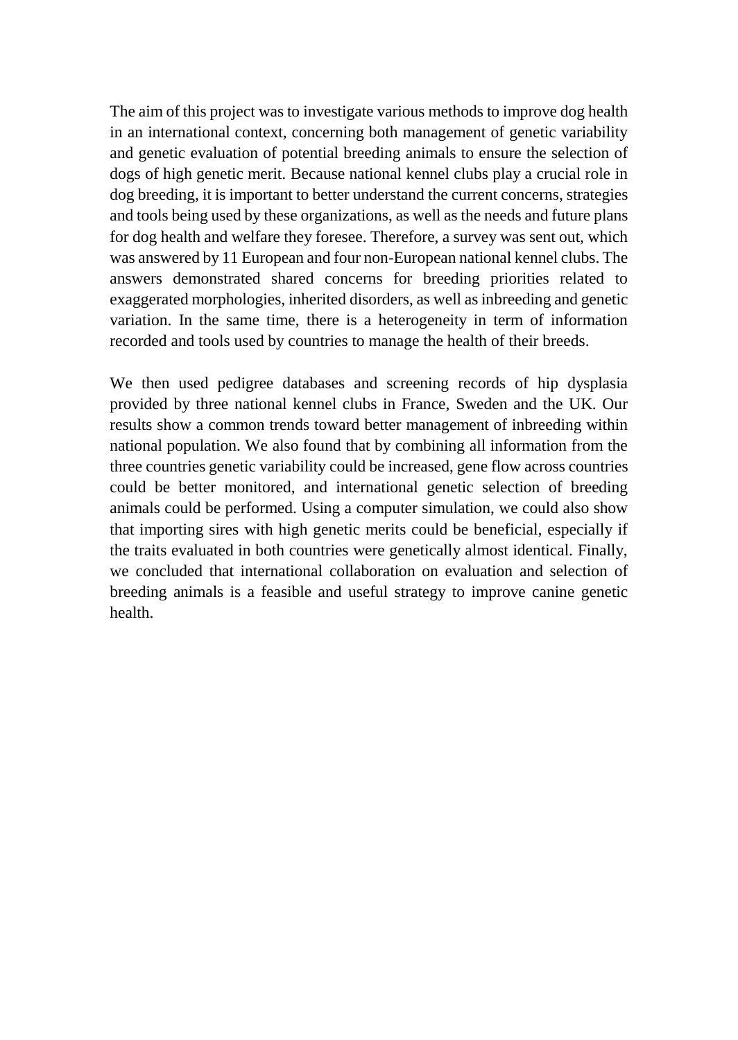The aim of this project was to investigate various methods to improve dog health in an international context, concerning both management of genetic variability and genetic evaluation of potential breeding animals to ensure the selection of dogs of high genetic merit. Because national kennel clubs play a crucial role in dog breeding, it is important to better understand the current concerns, strategies and tools being used by these organizations, as well as the needs and future plans for dog health and welfare they foresee. Therefore, a survey was sent out, which was answered by 11 European and four non-European national kennel clubs. The answers demonstrated shared concerns for breeding priorities related to exaggerated morphologies, inherited disorders, as well as inbreeding and genetic variation. In the same time, there is a heterogeneity in term of information recorded and tools used by countries to manage the health of their breeds.

We then used pedigree databases and screening records of hip dysplasia provided by three national kennel clubs in France, Sweden and the UK. Our results show a common trends toward better management of inbreeding within national population. We also found that by combining all information from the three countries genetic variability could be increased, gene flow across countries could be better monitored, and international genetic selection of breeding animals could be performed. Using a computer simulation, we could also show that importing sires with high genetic merits could be beneficial, especially if the traits evaluated in both countries were genetically almost identical. Finally, we concluded that international collaboration on evaluation and selection of breeding animals is a feasible and useful strategy to improve canine genetic health.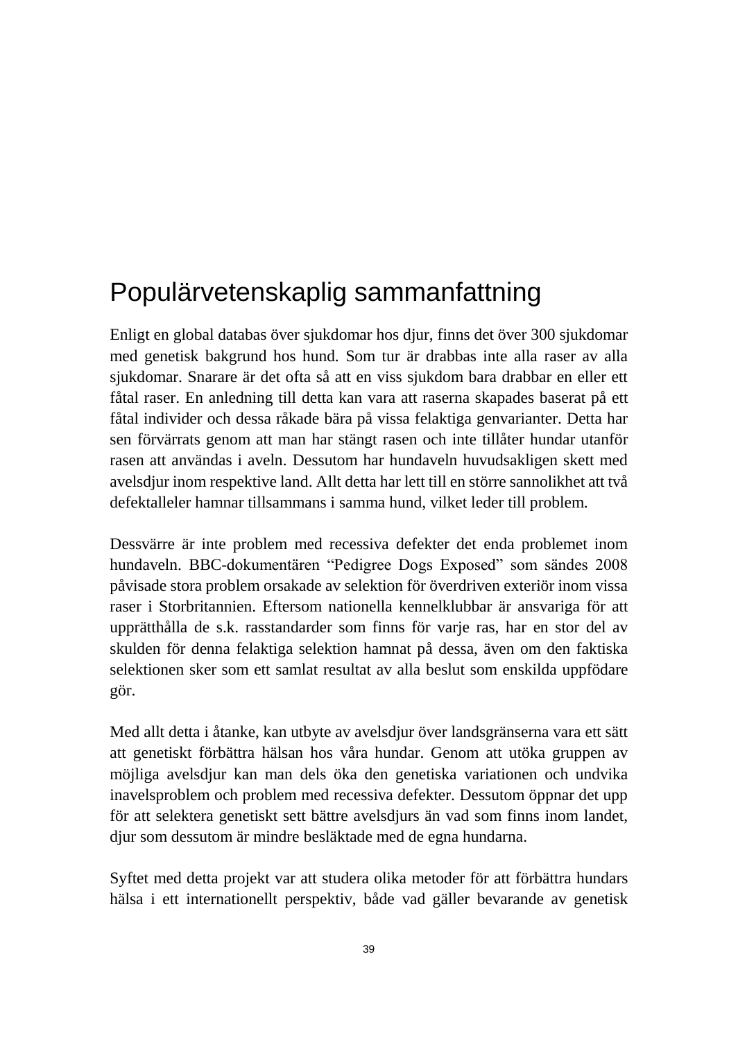# Populärvetenskaplig sammanfattning

Enligt en global databas över sjukdomar hos djur, finns det över 300 sjukdomar med genetisk bakgrund hos hund. Som tur är drabbas inte alla raser av alla sjukdomar. Snarare är det ofta så att en viss sjukdom bara drabbar en eller ett fåtal raser. En anledning till detta kan vara att raserna skapades baserat på ett fåtal individer och dessa råkade bära på vissa felaktiga genvarianter. Detta har sen förvärrats genom att man har stängt rasen och inte tillåter hundar utanför rasen att användas i aveln. Dessutom har hundaveln huvudsakligen skett med avelsdjur inom respektive land. Allt detta har lett till en större sannolikhet att två defektalleler hamnar tillsammans i samma hund, vilket leder till problem.

Dessvärre är inte problem med recessiva defekter det enda problemet inom hundaveln. BBC-dokumentären "Pedigree Dogs Exposed" som sändes 2008 påvisade stora problem orsakade av selektion för överdriven exteriör inom vissa raser i Storbritannien. Eftersom nationella kennelklubbar är ansvariga för att upprätthålla de s.k. rasstandarder som finns för varje ras, har en stor del av skulden för denna felaktiga selektion hamnat på dessa, även om den faktiska selektionen sker som ett samlat resultat av alla beslut som enskilda uppfödare gör.

Med allt detta i åtanke, kan utbyte av avelsdjur över landsgränserna vara ett sätt att genetiskt förbättra hälsan hos våra hundar. Genom att utöka gruppen av möjliga avelsdjur kan man dels öka den genetiska variationen och undvika inavelsproblem och problem med recessiva defekter. Dessutom öppnar det upp för att selektera genetiskt sett bättre avelsdjurs än vad som finns inom landet, djur som dessutom är mindre besläktade med de egna hundarna.

Syftet med detta projekt var att studera olika metoder för att förbättra hundars hälsa i ett internationellt perspektiv, både vad gäller bevarande av genetisk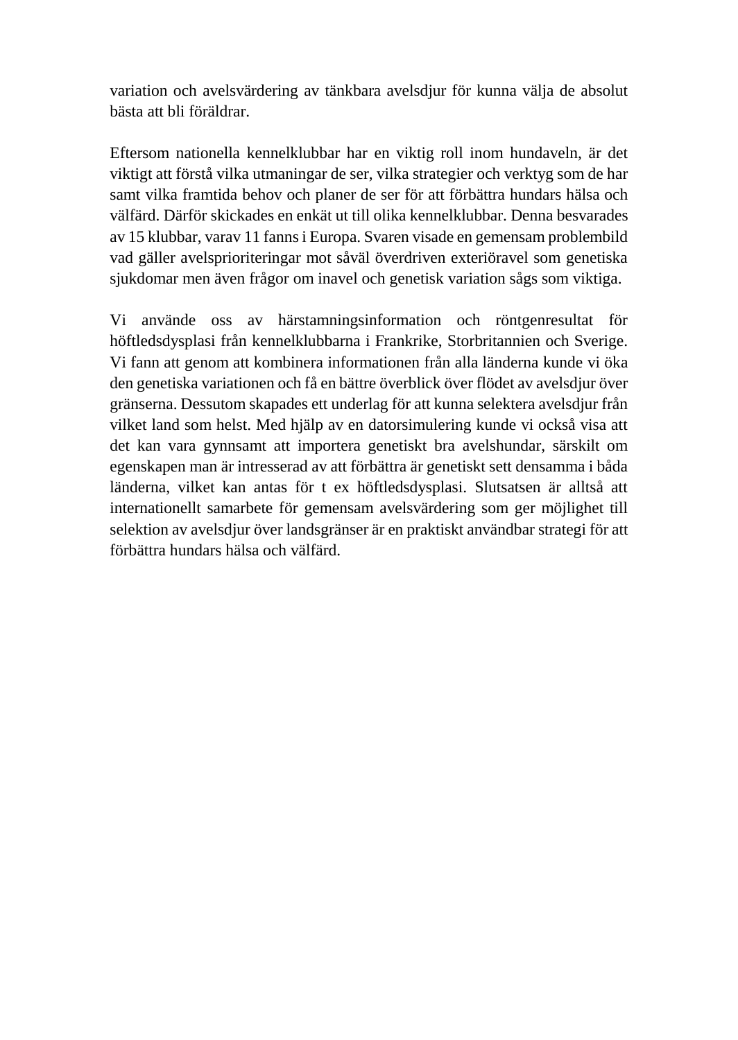variation och avelsvärdering av tänkbara avelsdjur för kunna välja de absolut bästa att bli föräldrar.

Eftersom nationella kennelklubbar har en viktig roll inom hundaveln, är det viktigt att förstå vilka utmaningar de ser, vilka strategier och verktyg som de har samt vilka framtida behov och planer de ser för att förbättra hundars hälsa och välfärd. Därför skickades en enkät ut till olika kennelklubbar. Denna besvarades av 15 klubbar, varav 11 fanns i Europa. Svaren visade en gemensam problembild vad gäller avelsprioriteringar mot såväl överdriven exteriöravel som genetiska sjukdomar men även frågor om inavel och genetisk variation sågs som viktiga.

Vi använde oss av härstamningsinformation och röntgenresultat för höftledsdysplasi från kennelklubbarna i Frankrike, Storbritannien och Sverige. Vi fann att genom att kombinera informationen från alla länderna kunde vi öka den genetiska variationen och få en bättre överblick över flödet av avelsdjur över gränserna. Dessutom skapades ett underlag för att kunna selektera avelsdjur från vilket land som helst. Med hjälp av en datorsimulering kunde vi också visa att det kan vara gynnsamt att importera genetiskt bra avelshundar, särskilt om egenskapen man är intresserad av att förbättra är genetiskt sett densamma i båda länderna, vilket kan antas för t ex höftledsdysplasi. Slutsatsen är alltså att internationellt samarbete för gemensam avelsvärdering som ger möjlighet till selektion av avelsdjur över landsgränser är en praktiskt användbar strategi för att förbättra hundars hälsa och välfärd.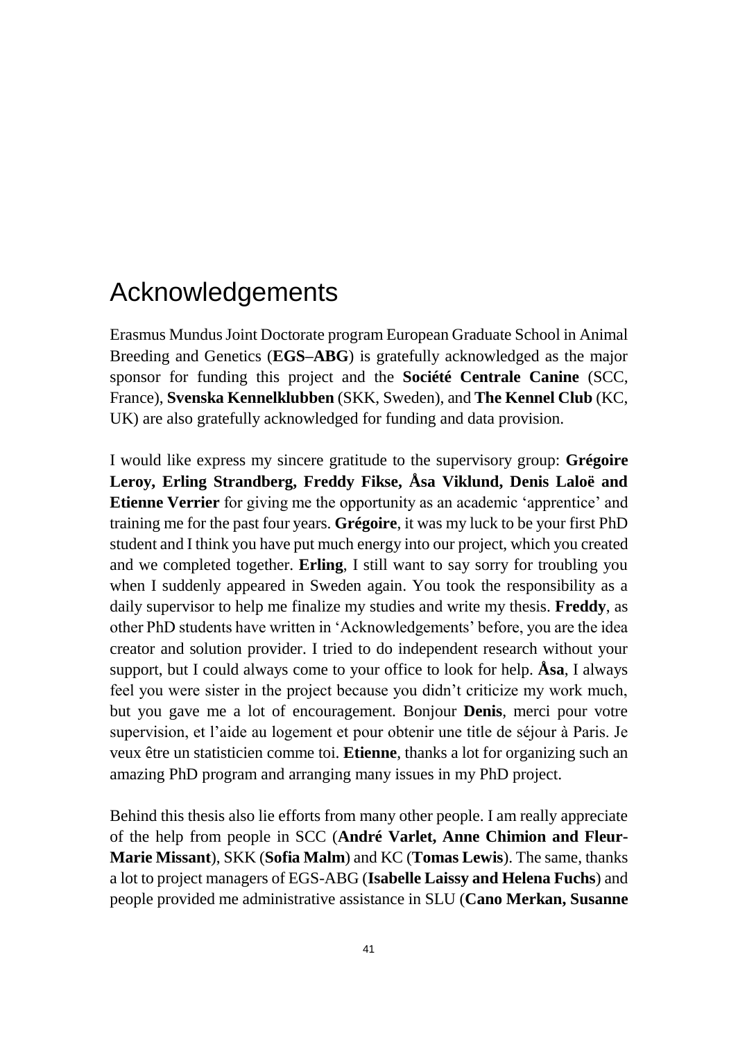# Acknowledgements

Erasmus Mundus Joint Doctorate program European Graduate School in Animal Breeding and Genetics (**EGS–ABG**) is gratefully acknowledged as the major sponsor for funding this project and the **Société Centrale Canine** (SCC, France), **Svenska Kennelklubben** (SKK, Sweden), and **The Kennel Club** (KC, UK) are also gratefully acknowledged for funding and data provision.

I would like express my sincere gratitude to the supervisory group: **Grégoire Leroy, Erling Strandberg, Freddy Fikse, Åsa Viklund, Denis Laloë and Etienne Verrier** for giving me the opportunity as an academic 'apprentice' and training me for the past four years. **Grégoire**, it was my luck to be your first PhD student and I think you have put much energy into our project, which you created and we completed together. **Erling**, I still want to say sorry for troubling you when I suddenly appeared in Sweden again. You took the responsibility as a daily supervisor to help me finalize my studies and write my thesis. **Freddy**, as other PhD students have written in 'Acknowledgements' before, you are the idea creator and solution provider. I tried to do independent research without your support, but I could always come to your office to look for help. **Åsa**, I always feel you were sister in the project because you didn't criticize my work much, but you gave me a lot of encouragement. Bonjour **Denis**, merci pour votre supervision, et l'aide au logement et pour obtenir une title de séjour à Paris. Je veux être un statisticien comme toi. **Etienne**, thanks a lot for organizing such an amazing PhD program and arranging many issues in my PhD project.

Behind this thesis also lie efforts from many other people. I am really appreciate of the help from people in SCC (**André Varlet, Anne Chimion and Fleur-Marie Missant**), SKK (**Sofia Malm**) and KC (**Tomas Lewis**). The same, thanks a lot to project managers of EGS-ABG (**Isabelle Laissy and Helena Fuchs**) and people provided me administrative assistance in SLU (**Cano Merkan, Susanne**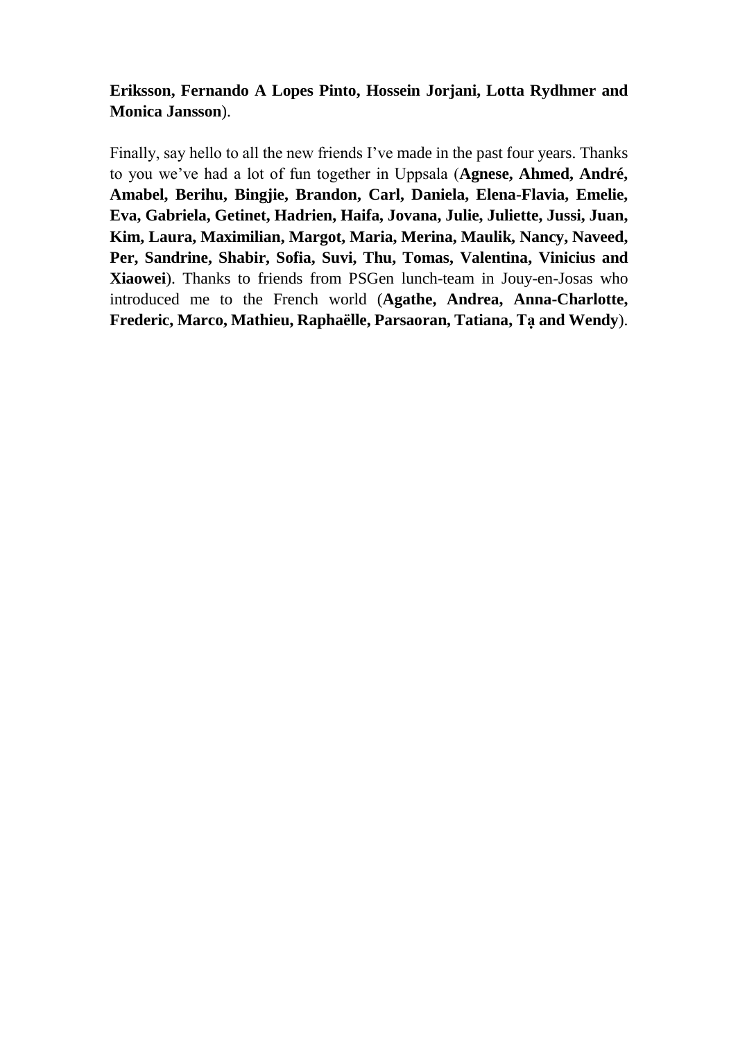### **Eriksson, Fernando A Lopes Pinto, Hossein Jorjani, Lotta Rydhmer and Monica Jansson**).

Finally, say hello to all the new friends I've made in the past four years. Thanks to you we've had a lot of fun together in Uppsala (**Agnese, Ahmed, André, Amabel, Berihu, Bingjie, Brandon, Carl, Daniela, Elena-Flavia, Emelie, Eva, Gabriela, Getinet, Hadrien, Haifa, Jovana, Julie, Juliette, Jussi, Juan, Kim, Laura, Maximilian, Margot, Maria, Merina, Maulik, Nancy, Naveed, Per, Sandrine, Shabir, Sofia, Suvi, Thu, Tomas, Valentina, Vinicius and Xiaowei**). Thanks to friends from PSGen lunch-team in Jouy-en-Josas who introduced me to the French world (**Agathe, Andrea, Anna-Charlotte, Frederic, Marco, Mathieu, Raphaëlle, Parsaoran, Tatiana, Tạ and Wendy**).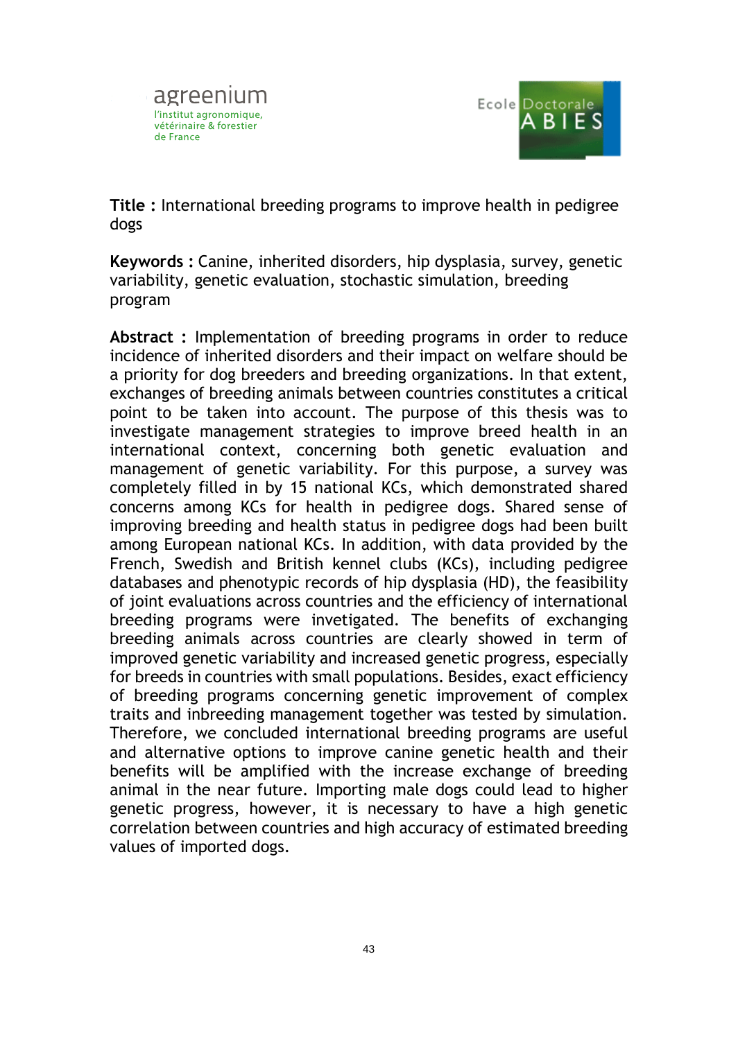



**Title :** International breeding programs to improve health in pedigree dogs

**Keywords :** Canine, inherited disorders, hip dysplasia, survey, genetic variability, genetic evaluation, stochastic simulation, breeding program

**Abstract :** Implementation of breeding programs in order to reduce incidence of inherited disorders and their impact on welfare should be a priority for dog breeders and breeding organizations. In that extent, exchanges of breeding animals between countries constitutes a critical point to be taken into account. The purpose of this thesis was to investigate management strategies to improve breed health in an international context, concerning both genetic evaluation and management of genetic variability. For this purpose, a survey was completely filled in by 15 national KCs, which demonstrated shared concerns among KCs for health in pedigree dogs. Shared sense of improving breeding and health status in pedigree dogs had been built among European national KCs. In addition, with data provided by the French, Swedish and British kennel clubs (KCs), including pedigree databases and phenotypic records of hip dysplasia (HD), the feasibility of joint evaluations across countries and the efficiency of international breeding programs were invetigated. The benefits of exchanging breeding animals across countries are clearly showed in term of improved genetic variability and increased genetic progress, especially for breeds in countries with small populations. Besides, exact efficiency of breeding programs concerning genetic improvement of complex traits and inbreeding management together was tested by simulation. Therefore, we concluded international breeding programs are useful and alternative options to improve canine genetic health and their benefits will be amplified with the increase exchange of breeding animal in the near future. Importing male dogs could lead to higher genetic progress, however, it is necessary to have a high genetic correlation between countries and high accuracy of estimated breeding values of imported dogs.